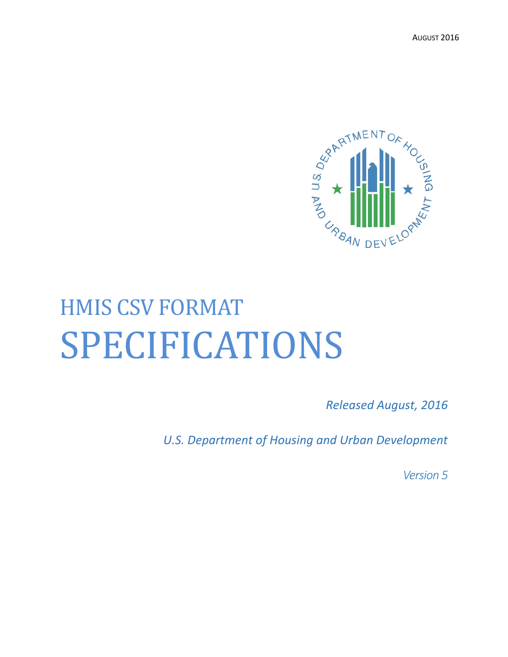AUGUST 2016



# HMIS CSV FORMAT SPECIFICATIONS

*Released August, 2016*

*U.S. Department of Housing and Urban Development*

*Version 5*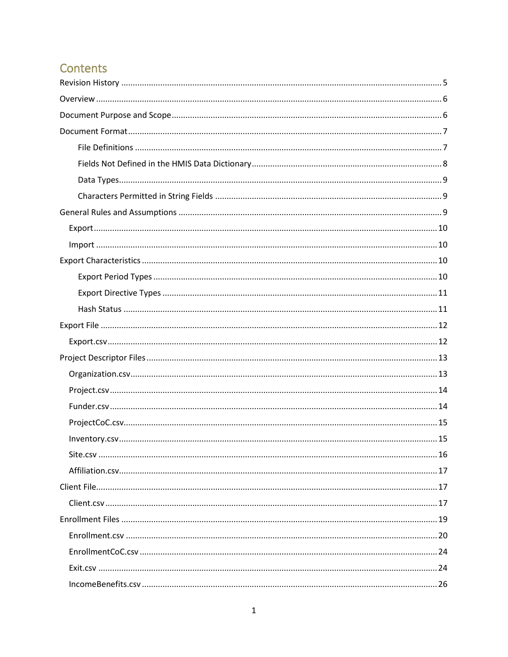# Contents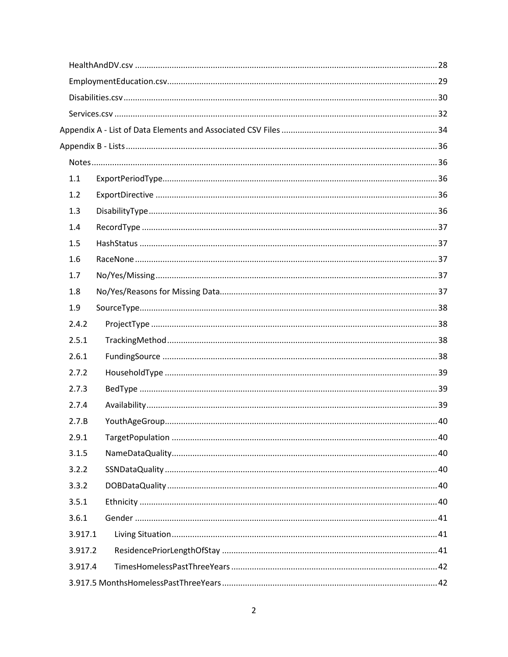| 1.1     |  |
|---------|--|
| 1.2     |  |
| 1.3     |  |
| 1.4     |  |
| 1.5     |  |
| 1.6     |  |
| 1.7     |  |
| 1.8     |  |
| 1.9     |  |
| 2.4.2   |  |
| 2.5.1   |  |
| 2.6.1   |  |
| 2.7.2   |  |
| 2.7.3   |  |
| 2.7.4   |  |
| 2.7.B   |  |
| 2.9.1   |  |
| 3.1.5   |  |
| 3.2.2   |  |
| 3.3.2   |  |
| 3.5.1   |  |
| 3.6.1   |  |
| 3.917.1 |  |
| 3.917.2 |  |
| 3.917.4 |  |
|         |  |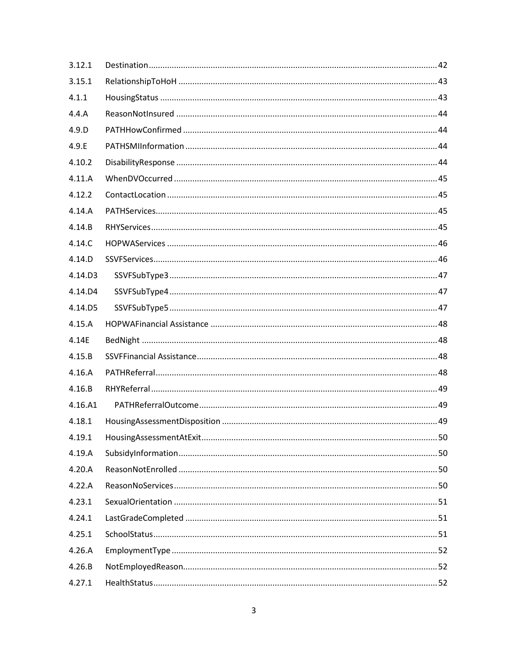| 3.12.1  |  |
|---------|--|
| 3.15.1  |  |
| 4.1.1   |  |
| 4.4.A   |  |
| 4.9.D   |  |
| 4.9.E   |  |
| 4.10.2  |  |
| 4.11.A  |  |
| 4.12.2  |  |
| 4.14.A  |  |
| 4.14.B  |  |
| 4.14.C  |  |
| 4.14.D  |  |
| 4.14.D3 |  |
| 4.14.D4 |  |
| 4.14.D5 |  |
| 4.15.A  |  |
| 4.14E   |  |
| 4.15.B  |  |
| 4.16.A  |  |
| 4.16.B  |  |
| 4.16.A1 |  |
| 4.18.1  |  |
| 4.19.1  |  |
| 4.19.A  |  |
| 4.20.A  |  |
| 4.22.A  |  |
| 4.23.1  |  |
| 4.24.1  |  |
| 4.25.1  |  |
| 4.26.A  |  |
| 4.26.B  |  |
| 4.27.1  |  |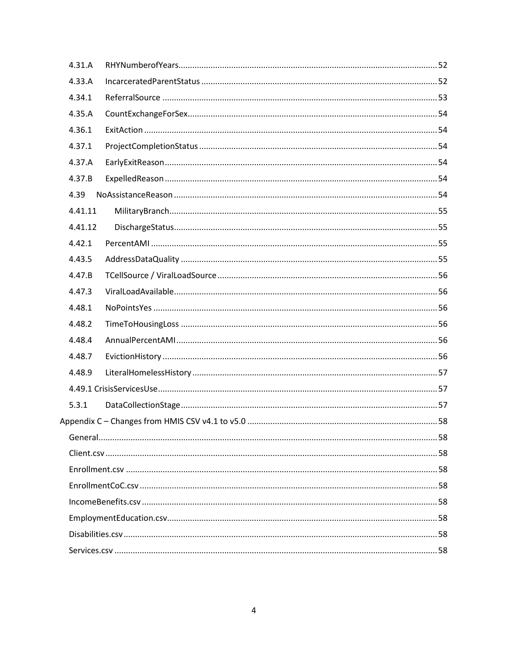| 4.31.A  |  |
|---------|--|
| 4.33.A  |  |
| 4.34.1  |  |
| 4.35.A  |  |
| 4.36.1  |  |
| 4.37.1  |  |
| 4.37.A  |  |
| 4.37.B  |  |
| 4.39    |  |
| 4.41.11 |  |
| 4.41.12 |  |
| 4.42.1  |  |
| 4.43.5  |  |
| 4.47.B  |  |
| 4.47.3  |  |
| 4.48.1  |  |
| 4.48.2  |  |
| 4.48.4  |  |
| 4.48.7  |  |
| 4.48.9  |  |
|         |  |
| 5.3.1   |  |
|         |  |
|         |  |
|         |  |
|         |  |
|         |  |
|         |  |
|         |  |
|         |  |
|         |  |
|         |  |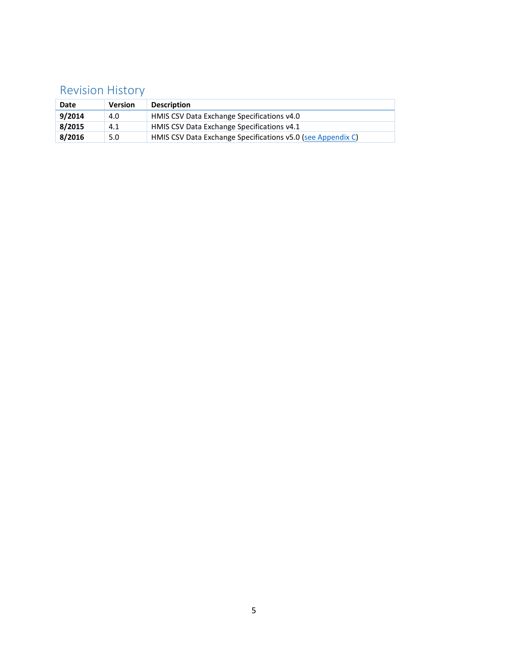# <span id="page-5-0"></span>Revision History

| Date   | <b>Version</b> | <b>Description</b>                                          |
|--------|----------------|-------------------------------------------------------------|
| 9/2014 | 4.0            | HMIS CSV Data Exchange Specifications v4.0                  |
| 8/2015 | 4.1            | HMIS CSV Data Exchange Specifications v4.1                  |
| 8/2016 | 5.0            | HMIS CSV Data Exchange Specifications v5.0 (see Appendix C) |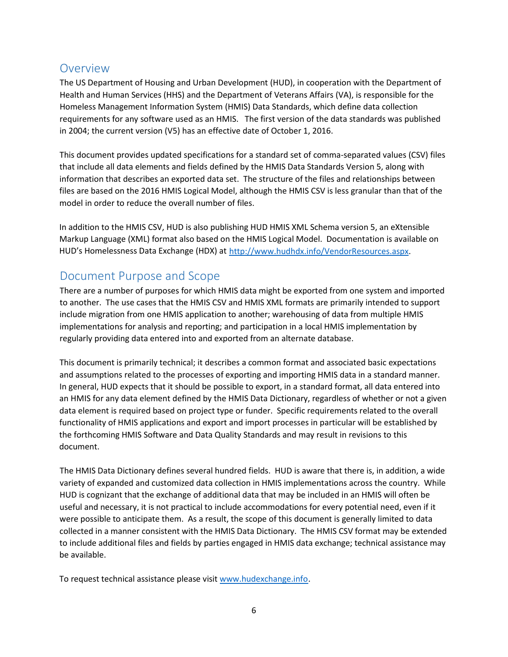### <span id="page-6-0"></span>**Overview**

The US Department of Housing and Urban Development (HUD), in cooperation with the Department of Health and Human Services (HHS) and the Department of Veterans Affairs (VA), is responsible for the Homeless Management Information System (HMIS) Data Standards, which define data collection requirements for any software used as an HMIS. The first version of the data standards was published in 2004; the current version (V5) has an effective date of October 1, 2016.

This document provides updated specifications for a standard set of comma-separated values (CSV) files that include all data elements and fields defined by the HMIS Data Standards Version 5, along with information that describes an exported data set. The structure of the files and relationships between files are based on the 2016 HMIS Logical Model, although the HMIS CSV is less granular than that of the model in order to reduce the overall number of files.

In addition to the HMIS CSV, HUD is also publishing HUD HMIS XML Schema version 5, an eXtensible Markup Language (XML) format also based on the HMIS Logical Model. Documentation is available on HUD's Homelessness Data Exchange (HDX) at [http://www.hudhdx.info/VendorResources.aspx.](http://www.hudhdx.info/VendorResources.aspx)

### <span id="page-6-1"></span>Document Purpose and Scope

There are a number of purposes for which HMIS data might be exported from one system and imported to another. The use cases that the HMIS CSV and HMIS XML formats are primarily intended to support include migration from one HMIS application to another; warehousing of data from multiple HMIS implementations for analysis and reporting; and participation in a local HMIS implementation by regularly providing data entered into and exported from an alternate database.

This document is primarily technical; it describes a common format and associated basic expectations and assumptions related to the processes of exporting and importing HMIS data in a standard manner. In general, HUD expects that it should be possible to export, in a standard format, all data entered into an HMIS for any data element defined by the HMIS Data Dictionary, regardless of whether or not a given data element is required based on project type or funder. Specific requirements related to the overall functionality of HMIS applications and export and import processes in particular will be established by the forthcoming HMIS Software and Data Quality Standards and may result in revisions to this document.

The HMIS Data Dictionary defines several hundred fields. HUD is aware that there is, in addition, a wide variety of expanded and customized data collection in HMIS implementations across the country. While HUD is cognizant that the exchange of additional data that may be included in an HMIS will often be useful and necessary, it is not practical to include accommodations for every potential need, even if it were possible to anticipate them. As a result, the scope of this document is generally limited to data collected in a manner consistent with the HMIS Data Dictionary. The HMIS CSV format may be extended to include additional files and fields by parties engaged in HMIS data exchange; technical assistance may be available.

To request technical assistance please visit [www.hudexchange.info.](http://www.hudexchange.info/)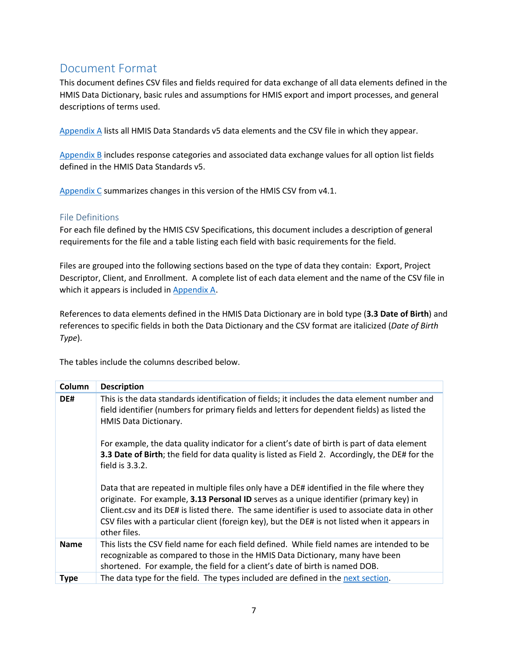# <span id="page-7-0"></span>Document Format

This document defines CSV files and fields required for data exchange of all data elements defined in the HMIS Data Dictionary, basic rules and assumptions for HMIS export and import processes, and general descriptions of terms used.

[Appendix A](#page-34-0) lists all HMIS Data Standards v5 data elements and the CSV file in which they appear.

[Appendix B](#page-36-0) includes response categories and associated data exchange values for all option list fields defined in the HMIS Data Standards v5.

[Appendix C](#page-57-3) summarizes changes in this version of the HMIS CSV from v4.1.

#### <span id="page-7-1"></span>File Definitions

For each file defined by the HMIS CSV Specifications, this document includes a description of general requirements for the file and a table listing each field with basic requirements for the field.

Files are grouped into the following sections based on the type of data they contain: Export, Project Descriptor, Client, and Enrollment. A complete list of each data element and the name of the CSV file in which it appears is included in [Appendix A.](#page-34-0)

References to data elements defined in the HMIS Data Dictionary are in bold type (**3.3 Date of Birth**) and references to specific fields in both the Data Dictionary and the CSV format are italicized (*Date of Birth Type*).

The tables include the columns described below.

| Column      | <b>Description</b>                                                                                                                                                                                                                                                                                                                                                                                        |
|-------------|-----------------------------------------------------------------------------------------------------------------------------------------------------------------------------------------------------------------------------------------------------------------------------------------------------------------------------------------------------------------------------------------------------------|
| DE#         | This is the data standards identification of fields; it includes the data element number and<br>field identifier (numbers for primary fields and letters for dependent fields) as listed the<br>HMIS Data Dictionary.                                                                                                                                                                                     |
|             | For example, the data quality indicator for a client's date of birth is part of data element<br>3.3 Date of Birth; the field for data quality is listed as Field 2. Accordingly, the DE# for the<br>field is 3.3.2.                                                                                                                                                                                       |
|             | Data that are repeated in multiple files only have a DE# identified in the file where they<br>originate. For example, 3.13 Personal ID serves as a unique identifier (primary key) in<br>Client.csv and its DE# is listed there. The same identifier is used to associate data in other<br>CSV files with a particular client (foreign key), but the DE# is not listed when it appears in<br>other files. |
| <b>Name</b> | This lists the CSV field name for each field defined. While field names are intended to be<br>recognizable as compared to those in the HMIS Data Dictionary, many have been<br>shortened. For example, the field for a client's date of birth is named DOB.                                                                                                                                               |
| <b>Type</b> | The data type for the field. The types included are defined in the next section.                                                                                                                                                                                                                                                                                                                          |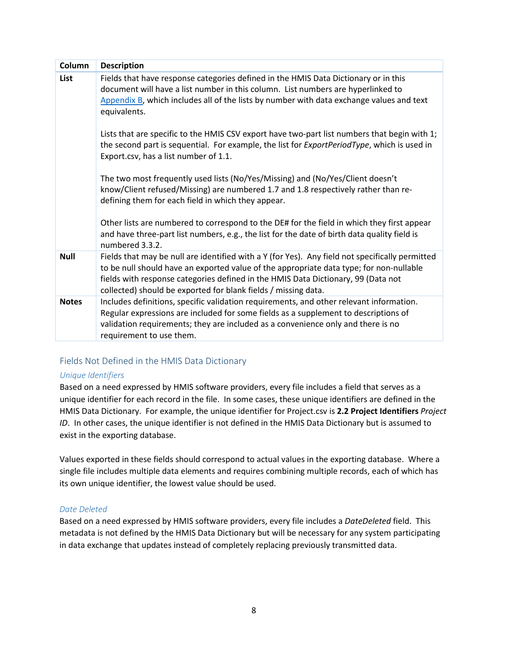| Column       | <b>Description</b>                                                                                                                                                                                                                                                                                                                                |
|--------------|---------------------------------------------------------------------------------------------------------------------------------------------------------------------------------------------------------------------------------------------------------------------------------------------------------------------------------------------------|
| List         | Fields that have response categories defined in the HMIS Data Dictionary or in this<br>document will have a list number in this column. List numbers are hyperlinked to<br>Appendix B, which includes all of the lists by number with data exchange values and text<br>equivalents.                                                               |
|              | Lists that are specific to the HMIS CSV export have two-part list numbers that begin with 1;<br>the second part is sequential. For example, the list for <i>ExportPeriodType</i> , which is used in<br>Export.csv, has a list number of 1.1.                                                                                                      |
|              | The two most frequently used lists (No/Yes/Missing) and (No/Yes/Client doesn't<br>know/Client refused/Missing) are numbered 1.7 and 1.8 respectively rather than re-<br>defining them for each field in which they appear.                                                                                                                        |
|              | Other lists are numbered to correspond to the DE# for the field in which they first appear<br>and have three-part list numbers, e.g., the list for the date of birth data quality field is<br>numbered 3.3.2.                                                                                                                                     |
| <b>Null</b>  | Fields that may be null are identified with a Y (for Yes). Any field not specifically permitted<br>to be null should have an exported value of the appropriate data type; for non-nullable<br>fields with response categories defined in the HMIS Data Dictionary, 99 (Data not<br>collected) should be exported for blank fields / missing data. |
| <b>Notes</b> | Includes definitions, specific validation requirements, and other relevant information.<br>Regular expressions are included for some fields as a supplement to descriptions of<br>validation requirements; they are included as a convenience only and there is no<br>requirement to use them.                                                    |

#### <span id="page-8-0"></span>Fields Not Defined in the HMIS Data Dictionary

#### *Unique Identifiers*

Based on a need expressed by HMIS software providers, every file includes a field that serves as a unique identifier for each record in the file. In some cases, these unique identifiers are defined in the HMIS Data Dictionary. For example, the unique identifier for Project.csv is **2.2 Project Identifiers** *Project ID*. In other cases, the unique identifier is not defined in the HMIS Data Dictionary but is assumed to exist in the exporting database.

Values exported in these fields should correspond to actual values in the exporting database. Where a single file includes multiple data elements and requires combining multiple records, each of which has its own unique identifier, the lowest value should be used.

#### *Date Deleted*

Based on a need expressed by HMIS software providers, every file includes a *DateDeleted* field. This metadata is not defined by the HMIS Data Dictionary but will be necessary for any system participating in data exchange that updates instead of completely replacing previously transmitted data.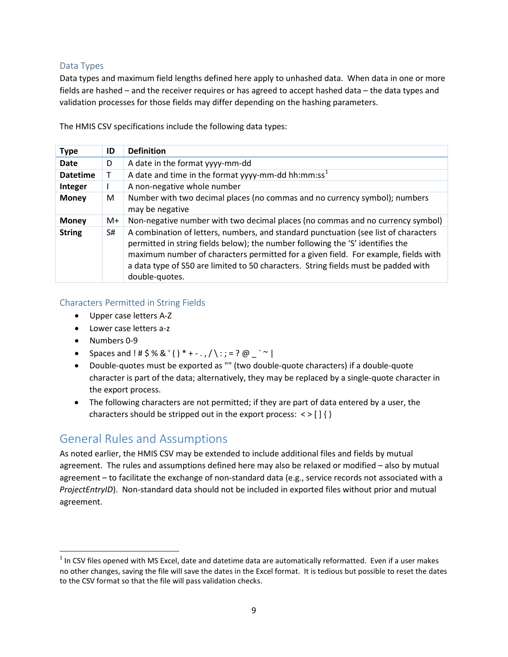#### <span id="page-9-0"></span>Data Types

Data types and maximum field lengths defined here apply to unhashed data. When data in one or more fields are hashed – and the receiver requires or has agreed to accept hashed data – the data types and validation processes for those fields may differ depending on the hashing parameters.

The HMIS CSV specifications include the following data types:

| <b>Type</b>     | ID | <b>Definition</b>                                                                                                                                                                                                                                                                                                                                                   |
|-----------------|----|---------------------------------------------------------------------------------------------------------------------------------------------------------------------------------------------------------------------------------------------------------------------------------------------------------------------------------------------------------------------|
| Date            | D  | A date in the format yyyy-mm-dd                                                                                                                                                                                                                                                                                                                                     |
| <b>Datetime</b> |    | A date and time in the format yyyy-mm-dd hh:mm:ss <sup>1</sup>                                                                                                                                                                                                                                                                                                      |
| Integer         |    | A non-negative whole number                                                                                                                                                                                                                                                                                                                                         |
| <b>Money</b>    | M  | Number with two decimal places (no commas and no currency symbol); numbers<br>may be negative                                                                                                                                                                                                                                                                       |
| <b>Money</b>    | M+ | Non-negative number with two decimal places (no commas and no currency symbol)                                                                                                                                                                                                                                                                                      |
| <b>String</b>   | S# | A combination of letters, numbers, and standard punctuation (see list of characters<br>permitted in string fields below); the number following the 'S' identifies the<br>maximum number of characters permitted for a given field. For example, fields with<br>a data type of S50 are limited to 50 characters. String fields must be padded with<br>double-quotes. |

#### <span id="page-9-1"></span>Characters Permitted in String Fields

- Upper case letters A-Z
- Lower case letters a-z
- Numbers 0-9

l

- Spaces and ! #  $$% & ($   $)*$  + . ,  $/$  : ; = ? @ ` ~ |
- Double-quotes must be exported as "" (two double-quote characters) if a double-quote character is part of the data; alternatively, they may be replaced by a single-quote character in the export process.
- The following characters are not permitted; if they are part of data entered by a user, the characters should be stripped out in the export process:  $\langle \rangle$  [] { }

### <span id="page-9-2"></span>General Rules and Assumptions

As noted earlier, the HMIS CSV may be extended to include additional files and fields by mutual agreement. The rules and assumptions defined here may also be relaxed or modified – also by mutual agreement – to facilitate the exchange of non-standard data (e.g., service records not associated with a *ProjectEntryID*). Non-standard data should not be included in exported files without prior and mutual agreement.

<span id="page-9-3"></span> $1$  In CSV files opened with MS Excel, date and datetime data are automatically reformatted. Even if a user makes no other changes, saving the file will save the dates in the Excel format. It is tedious but possible to reset the dates to the CSV format so that the file will pass validation checks.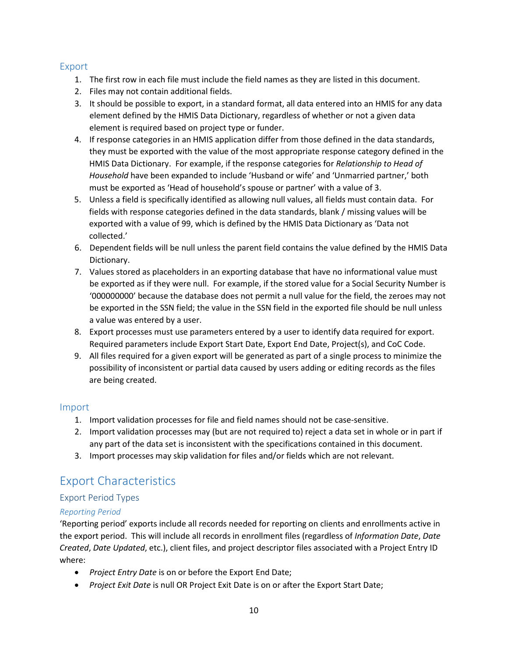#### <span id="page-10-0"></span>Export

- 1. The first row in each file must include the field names as they are listed in this document.
- 2. Files may not contain additional fields.
- 3. It should be possible to export, in a standard format, all data entered into an HMIS for any data element defined by the HMIS Data Dictionary, regardless of whether or not a given data element is required based on project type or funder.
- 4. If response categories in an HMIS application differ from those defined in the data standards, they must be exported with the value of the most appropriate response category defined in the HMIS Data Dictionary. For example, if the response categories for *Relationship to Head of Household* have been expanded to include 'Husband or wife' and 'Unmarried partner,' both must be exported as 'Head of household's spouse or partner' with a value of 3.
- 5. Unless a field is specifically identified as allowing null values, all fields must contain data. For fields with response categories defined in the data standards, blank / missing values will be exported with a value of 99, which is defined by the HMIS Data Dictionary as 'Data not collected.'
- 6. Dependent fields will be null unless the parent field contains the value defined by the HMIS Data Dictionary.
- 7. Values stored as placeholders in an exporting database that have no informational value must be exported as if they were null. For example, if the stored value for a Social Security Number is '000000000' because the database does not permit a null value for the field, the zeroes may not be exported in the SSN field; the value in the SSN field in the exported file should be null unless a value was entered by a user.
- 8. Export processes must use parameters entered by a user to identify data required for export. Required parameters include Export Start Date, Export End Date, Project(s), and CoC Code.
- 9. All files required for a given export will be generated as part of a single process to minimize the possibility of inconsistent or partial data caused by users adding or editing records as the files are being created.

#### <span id="page-10-1"></span>Import

- 1. Import validation processes for file and field names should not be case-sensitive.
- 2. Import validation processes may (but are not required to) reject a data set in whole or in part if any part of the data set is inconsistent with the specifications contained in this document.
- 3. Import processes may skip validation for files and/or fields which are not relevant.

### <span id="page-10-2"></span>Export Characteristics

#### <span id="page-10-3"></span>Export Period Types

#### *Reporting Period*

'Reporting period' exports include all records needed for reporting on clients and enrollments active in the export period. This will include all records in enrollment files (regardless of *Information Date*, *Date Created*, *Date Updated*, etc.), client files, and project descriptor files associated with a Project Entry ID where:

- *Project Entry Date* is on or before the Export End Date;
- *Project Exit Date* is null OR Project Exit Date is on or after the Export Start Date;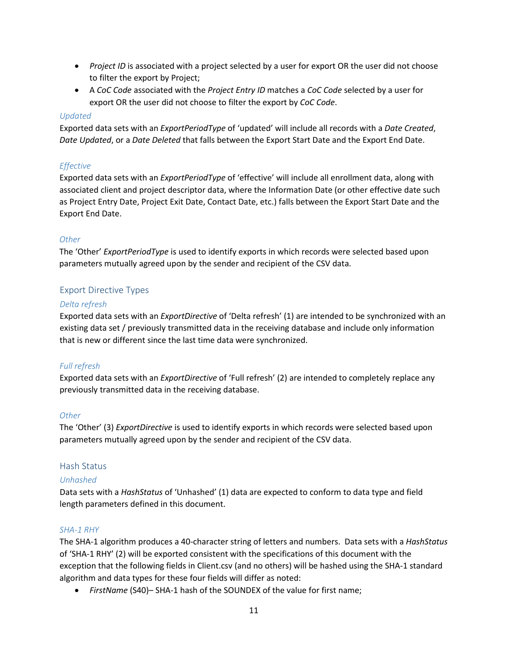- *Project ID* is associated with a project selected by a user for export OR the user did not choose to filter the export by Project;
- A *CoC Code* associated with the *Project Entry ID* matches a *CoC Code* selected by a user for export OR the user did not choose to filter the export by *CoC Code*.

#### *Updated*

Exported data sets with an *ExportPeriodType* of 'updated' will include all records with a *Date Created*, *Date Updated*, or a *Date Deleted* that falls between the Export Start Date and the Export End Date.

#### *Effective*

Exported data sets with an *ExportPeriodType* of 'effective' will include all enrollment data, along with associated client and project descriptor data, where the Information Date (or other effective date such as Project Entry Date, Project Exit Date, Contact Date, etc.) falls between the Export Start Date and the Export End Date.

#### *Other*

The 'Other' *ExportPeriodType* is used to identify exports in which records were selected based upon parameters mutually agreed upon by the sender and recipient of the CSV data.

#### <span id="page-11-0"></span>Export Directive Types

#### *Delta refresh*

Exported data sets with an *ExportDirective* of 'Delta refresh' (1) are intended to be synchronized with an existing data set / previously transmitted data in the receiving database and include only information that is new or different since the last time data were synchronized.

#### *Full refresh*

Exported data sets with an *ExportDirective* of 'Full refresh' (2) are intended to completely replace any previously transmitted data in the receiving database.

#### *Other*

The 'Other' (3) *ExportDirective* is used to identify exports in which records were selected based upon parameters mutually agreed upon by the sender and recipient of the CSV data.

#### <span id="page-11-1"></span>Hash Status

#### *Unhashed*

Data sets with a *HashStatus* of 'Unhashed' (1) data are expected to conform to data type and field length parameters defined in this document.

#### <span id="page-11-2"></span>*SHA-1 RHY*

The SHA-1 algorithm produces a 40-character string of letters and numbers. Data sets with a *HashStatus* of 'SHA-1 RHY' (2) will be exported consistent with the specifications of this document with the exception that the following fields in Client.csv (and no others) will be hashed using the SHA-1 standard algorithm and data types for these four fields will differ as noted:

• *FirstName* (S40)– SHA-1 hash of the SOUNDEX of the value for first name;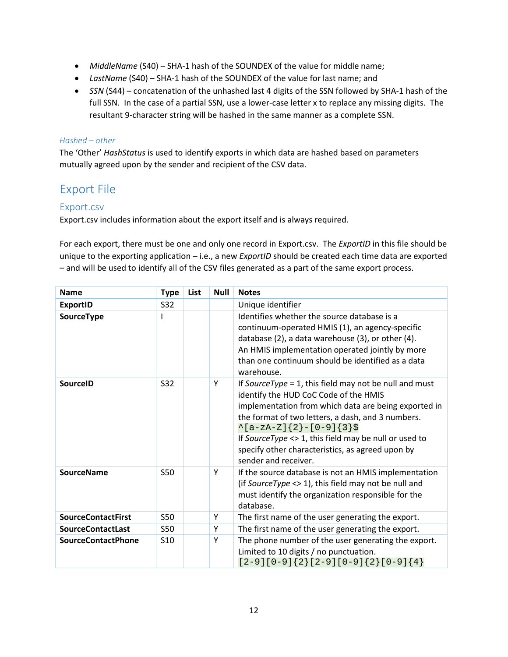- *MiddleName* (S40) SHA-1 hash of the SOUNDEX of the value for middle name;
- *LastName* (S40) SHA-1 hash of the SOUNDEX of the value for last name; and
- *SSN* (S44) concatenation of the unhashed last 4 digits of the SSN followed by SHA-1 hash of the full SSN. In the case of a partial SSN, use a lower-case letter x to replace any missing digits. The resultant 9-character string will be hashed in the same manner as a complete SSN.

#### *Hashed – other*

The 'Other' *HashStatus* is used to identify exports in which data are hashed based on parameters mutually agreed upon by the sender and recipient of the CSV data.

### <span id="page-12-0"></span>Export File

#### <span id="page-12-1"></span>Export.csv

Export.csv includes information about the export itself and is always required.

For each export, there must be one and only one record in Export.csv. The *ExportID* in this file should be unique to the exporting application – i.e., a new *ExportID* should be created each time data are exported – and will be used to identify all of the CSV files generated as a part of the same export process.

| <b>Name</b>               | <b>Type</b>     | List | <b>Null</b> | <b>Notes</b>                                                                                                                                                                                                                                                                                                                                                                             |  |
|---------------------------|-----------------|------|-------------|------------------------------------------------------------------------------------------------------------------------------------------------------------------------------------------------------------------------------------------------------------------------------------------------------------------------------------------------------------------------------------------|--|
| <b>ExportID</b>           | S32             |      |             | Unique identifier                                                                                                                                                                                                                                                                                                                                                                        |  |
| SourceType                |                 |      |             | Identifies whether the source database is a<br>continuum-operated HMIS (1), an agency-specific<br>database (2), a data warehouse (3), or other (4).<br>An HMIS implementation operated jointly by more<br>than one continuum should be identified as a data<br>warehouse.                                                                                                                |  |
| <b>SourceID</b>           | S32             |      | Y           | If SourceType = 1, this field may not be null and must<br>identify the HUD CoC Code of the HMIS<br>implementation from which data are being exported in<br>the format of two letters, a dash, and 3 numbers.<br>$\{a-zA-Z\}$ { 2 } - [0-9] { 3 } \$<br>If SourceType <> 1, this field may be null or used to<br>specify other characteristics, as agreed upon by<br>sender and receiver. |  |
| <b>SourceName</b>         | <b>S50</b>      |      | Y           | If the source database is not an HMIS implementation<br>(if SourceType $\langle$ > 1), this field may not be null and<br>must identify the organization responsible for the<br>database.                                                                                                                                                                                                 |  |
| <b>SourceContactFirst</b> | <b>S50</b>      |      | Y           | The first name of the user generating the export.                                                                                                                                                                                                                                                                                                                                        |  |
| <b>SourceContactLast</b>  | S50             |      | Y           | The first name of the user generating the export.                                                                                                                                                                                                                                                                                                                                        |  |
| <b>SourceContactPhone</b> | S <sub>10</sub> |      | Y           | The phone number of the user generating the export.<br>Limited to 10 digits / no punctuation.<br>$[2-9][0-9]\{2\}[2-9][0-9]\{2\}[0-9]\{4\}$                                                                                                                                                                                                                                              |  |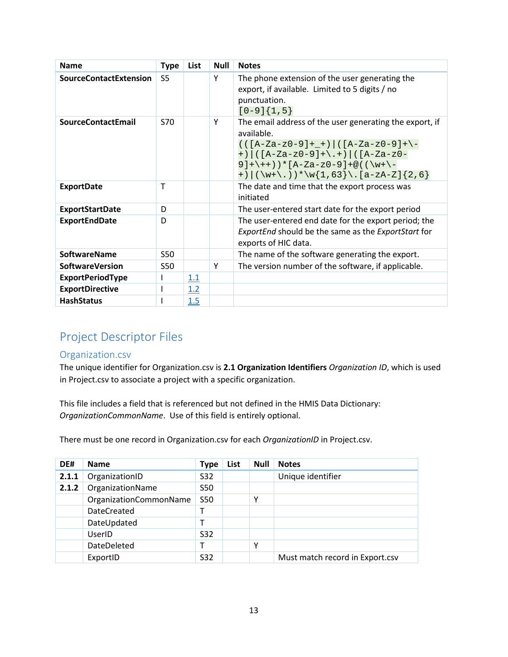| <b>Name</b>                   | <b>Type</b>    | <b>List</b> | <b>Null</b> | <b>Notes</b>                                                                                                                                                                                                                                        |  |  |  |
|-------------------------------|----------------|-------------|-------------|-----------------------------------------------------------------------------------------------------------------------------------------------------------------------------------------------------------------------------------------------------|--|--|--|
| <b>SourceContactExtension</b> | S <sub>5</sub> |             | Υ           | The phone extension of the user generating the<br>export, if available. Limited to 5 digits / no<br>punctuation.<br>$[0-9]\{1,5\}$                                                                                                                  |  |  |  |
| <b>SourceContactEmail</b>     | S70            |             | Υ           | The email address of the user generating the export, if<br>available.<br>$(( [A-Za-z0-9]+$ + $)) ((A-Za-z0-9]+$ -<br>+) $((A-Za-z0-9)+\+)$ $((A-Za-z0-$<br>$9]+(++)$ ) * [A-Za-z0-9] + @ ( ( \w+ \-<br>+) $(\w+\\. ) * \w{1,63} \\ . [a-zA-Z]{2,6}$ |  |  |  |
| <b>ExportDate</b>             | $\mathsf T$    |             |             | The date and time that the export process was<br>initiated                                                                                                                                                                                          |  |  |  |
| <b>ExportStartDate</b>        | D              |             |             | The user-entered start date for the export period                                                                                                                                                                                                   |  |  |  |
| <b>ExportEndDate</b>          | D              |             |             | The user-entered end date for the export period; the<br>ExportEnd should be the same as the ExportStart for<br>exports of HIC data.                                                                                                                 |  |  |  |
| <b>SoftwareName</b>           | S50            |             |             | The name of the software generating the export.                                                                                                                                                                                                     |  |  |  |
| <b>SoftwareVersion</b>        | <b>S50</b>     |             | Υ           | The version number of the software, if applicable.                                                                                                                                                                                                  |  |  |  |
| <b>ExportPeriodType</b>       | I.             | 1.1         |             |                                                                                                                                                                                                                                                     |  |  |  |
| <b>ExportDirective</b>        |                | 1.2         |             |                                                                                                                                                                                                                                                     |  |  |  |
| <b>HashStatus</b>             |                | 1.5         |             |                                                                                                                                                                                                                                                     |  |  |  |

# <span id="page-13-0"></span>Project Descriptor Files

#### <span id="page-13-1"></span>Organization.csv

The unique identifier for Organization.csv is **2.1 Organization Identifiers** *Organization ID*, which is used in Project.csv to associate a project with a specific organization.

This file includes a field that is referenced but not defined in the HMIS Data Dictionary: *OrganizationCommonName*. Use of this field is entirely optional.

There must be one record in Organization.csv for each *OrganizationID* in Project.csv.

| DE#   | <b>Name</b>            | <b>Type</b>     | List | <b>Null</b> | <b>Notes</b>                    |
|-------|------------------------|-----------------|------|-------------|---------------------------------|
| 2.1.1 | OrganizationID         | S32             |      |             | Unique identifier               |
| 2.1.2 | OrganizationName       | <b>S50</b>      |      |             |                                 |
|       | OrganizationCommonName | <b>S50</b>      |      | v           |                                 |
|       | DateCreated            | т               |      |             |                                 |
|       | DateUpdated            |                 |      |             |                                 |
|       | UserID                 | S <sub>32</sub> |      |             |                                 |
|       | DateDeleted            |                 |      | v           |                                 |
|       | ExportID               | S <sub>32</sub> |      |             | Must match record in Export.csv |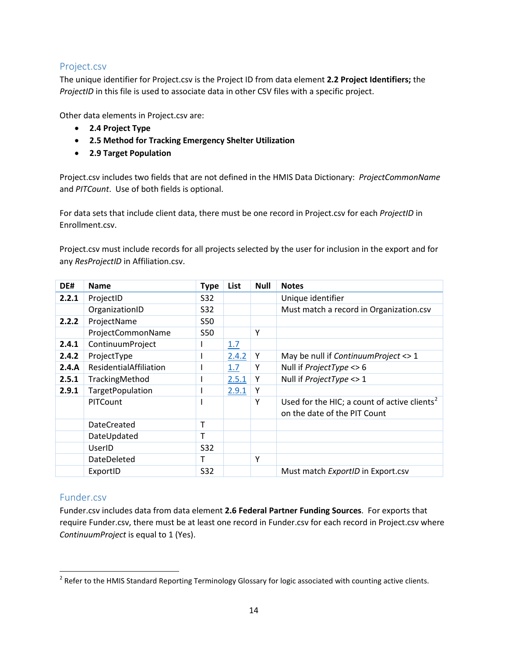#### <span id="page-14-0"></span>Project.csv

The unique identifier for Project.csv is the Project ID from data element **2.2 Project Identifiers;** the *ProjectID* in this file is used to associate data in other CSV files with a specific project.

Other data elements in Project.csv are:

- **2.4 Project Type**
- **2.5 Method for Tracking Emergency Shelter Utilization**
- **2.9 Target Population**

Project.csv includes two fields that are not defined in the HMIS Data Dictionary: *ProjectCommonName* and *PITCount*. Use of both fields is optional.

For data sets that include client data, there must be one record in Project.csv for each *ProjectID* in Enrollment.csv.

Project.csv must include records for all projects selected by the user for inclusion in the export and for any *ResProjectID* in Affiliation.csv.

| DE#   | <b>Name</b>            | <b>Type</b> | List  | <b>Null</b> | <b>Notes</b>                                                                             |
|-------|------------------------|-------------|-------|-------------|------------------------------------------------------------------------------------------|
| 2.2.1 | ProjectID              | S32         |       |             | Unique identifier                                                                        |
|       | OrganizationID         | S32         |       |             | Must match a record in Organization.csv                                                  |
| 2.2.2 | ProjectName            | <b>S50</b>  |       |             |                                                                                          |
|       | ProjectCommonName      | S50         |       | Υ           |                                                                                          |
| 2.4.1 | ContinuumProject       |             | 1.7   |             |                                                                                          |
| 2.4.2 | ProjectType            |             | 2.4.2 | Y           | May be null if ContinuumProject <> 1                                                     |
| 2.4.A | ResidentialAffiliation |             | 1.7   |             | Null if <i>ProjectType</i> <> 6                                                          |
| 2.5.1 | TrackingMethod         |             | 2.5.1 | Y           | Null if <i>ProjectType</i> <> 1                                                          |
| 2.9.1 | TargetPopulation       |             | 2.9.1 | Y           |                                                                                          |
|       | <b>PITCount</b>        |             |       | Y           | Used for the HIC; a count of active clients <sup>2</sup><br>on the date of the PIT Count |
|       | <b>DateCreated</b>     | т           |       |             |                                                                                          |
|       | DateUpdated            | т           |       |             |                                                                                          |
|       | UserID                 | S32         |       |             |                                                                                          |
|       | DateDeleted            | т           |       | Y           |                                                                                          |
|       | ExportID               | S32         |       |             | Must match ExportID in Export.csv                                                        |

#### <span id="page-14-1"></span>Funder.csv

l

Funder.csv includes data from data element **2.6 Federal Partner Funding Sources**. For exports that require Funder.csv, there must be at least one record in Funder.csv for each record in Project.csv where *ContinuumProject* is equal to 1 (Yes).

<span id="page-14-2"></span> $^2$  Refer to the HMIS Standard Reporting Terminology Glossary for logic associated with counting active clients.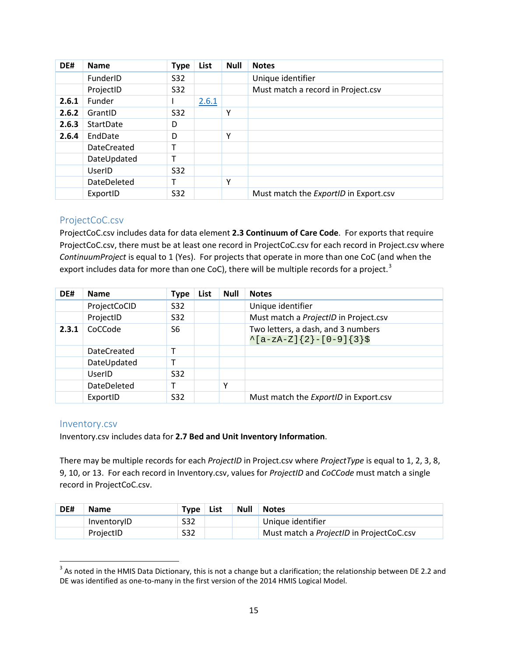| DE#   | <b>Name</b>        | <b>Type</b> | List  | <b>Null</b> | <b>Notes</b>                                 |  |  |  |
|-------|--------------------|-------------|-------|-------------|----------------------------------------------|--|--|--|
|       | FunderID           | S32         |       |             | Unique identifier                            |  |  |  |
|       | ProjectID          | S32         |       |             | Must match a record in Project.csv           |  |  |  |
| 2.6.1 | Funder             |             | 2.6.1 |             |                                              |  |  |  |
| 2.6.2 | GrantID            | S32         |       | Υ           |                                              |  |  |  |
| 2.6.3 | StartDate          | D           |       |             |                                              |  |  |  |
| 2.6.4 | EndDate            | D           |       | Υ           |                                              |  |  |  |
|       | <b>DateCreated</b> |             |       |             |                                              |  |  |  |
|       | DateUpdated        |             |       |             |                                              |  |  |  |
|       | UserID             | S32         |       |             |                                              |  |  |  |
|       | <b>DateDeleted</b> |             |       | Υ           |                                              |  |  |  |
|       | ExportID           | S32         |       |             | Must match the <i>ExportID</i> in Export.csv |  |  |  |

#### <span id="page-15-0"></span>ProjectCoC.csv

ProjectCoC.csv includes data for data element **2.3 Continuum of Care Code**. For exports that require ProjectCoC.csv, there must be at least one record in ProjectCoC.csv for each record in Project.csv where *ContinuumProject* is equal to 1 (Yes). For projects that operate in more than one CoC (and when the export includes data for more than one CoC), there will be multiple records for a project.<sup>[3](#page-15-2)</sup>

| DE#   | <b>Name</b>        | Type            | List | <b>Null</b> | <b>Notes</b>                                                      |
|-------|--------------------|-----------------|------|-------------|-------------------------------------------------------------------|
|       | ProjectCoCID       | S32             |      |             | Unique identifier                                                 |
|       | ProjectID          | S32             |      |             | Must match a ProjectID in Project.csv                             |
| 2.3.1 | CoCCode            | S <sub>6</sub>  |      |             | Two letters, a dash, and 3 numbers<br>$\{a-zA-Z\}$ {2}-[0-9]{3}\$ |
|       | <b>DateCreated</b> | т               |      |             |                                                                   |
|       | DateUpdated        |                 |      |             |                                                                   |
|       | UserID             | S <sub>32</sub> |      |             |                                                                   |
|       | DateDeleted        |                 |      | Υ           |                                                                   |
|       | ExportID           | S32             |      |             | Must match the ExportID in Export.csv                             |

#### <span id="page-15-1"></span>Inventory.csv

 $\overline{\phantom{a}}$ 

Inventory.csv includes data for **2.7 Bed and Unit Inventory Information**.

There may be multiple records for each *ProjectID* in Project.csv where *ProjectType* is equal to 1, 2, 3, 8, 9, 10, or 13. For each record in Inventory.csv, values for *ProjectID* and *CoCCode* must match a single record in ProjectCoC.csv.

| DE# | <b>Name</b> | Type | List | <b>Null</b>                                     | <b>Notes</b>      |  |
|-----|-------------|------|------|-------------------------------------------------|-------------------|--|
|     | InventoryID | S32  |      |                                                 | Unique identifier |  |
|     | ProjectID   | S32  |      | Must match a <i>ProjectID</i> in ProjectCoC.csv |                   |  |

<span id="page-15-2"></span> $3$  As noted in the HMIS Data Dictionary, this is not a change but a clarification; the relationship between DE 2.2 and DE was identified as one-to-many in the first version of the 2014 HMIS Logical Model.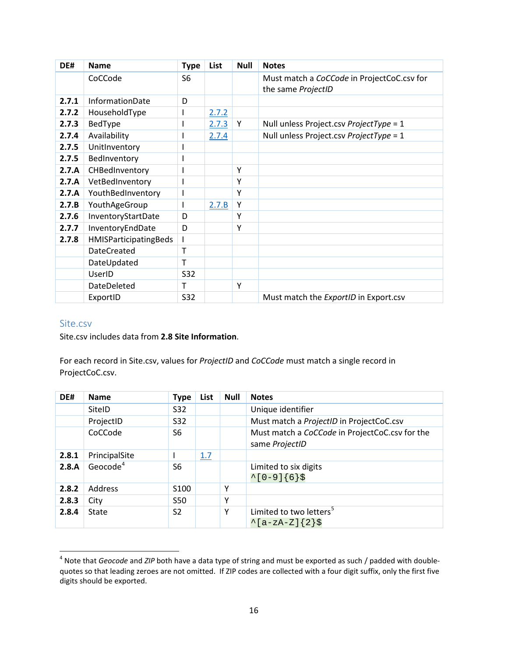| DE#   | <b>Name</b>                  | <b>Type</b>    | List  | <b>Null</b> | <b>Notes</b>                                                     |
|-------|------------------------------|----------------|-------|-------------|------------------------------------------------------------------|
|       | CoCCode                      | S <sub>6</sub> |       |             | Must match a CoCCode in ProjectCoC.csv for<br>the same ProjectID |
| 2.7.1 | InformationDate              | D              |       |             |                                                                  |
| 2.7.2 | HouseholdType                |                | 2.7.2 |             |                                                                  |
| 2.7.3 | BedType                      |                | 2.7.3 | Y           | Null unless Project.csv ProjectType = 1                          |
| 2.7.4 | Availability                 |                | 2.7.4 |             | Null unless Project.csv ProjectType = 1                          |
| 2.7.5 | UnitInventory                |                |       |             |                                                                  |
| 2.7.5 | BedInventory                 |                |       |             |                                                                  |
| 2.7.A | CHBedInventory               |                |       | Υ           |                                                                  |
| 2.7.A | VetBedInventory              |                |       | Υ           |                                                                  |
| 2.7.A | YouthBedInventory            |                |       | Υ           |                                                                  |
| 2.7.B | YouthAgeGroup                |                | 2.7.B | Y           |                                                                  |
| 2.7.6 | InventoryStartDate           | D              |       | Υ           |                                                                  |
| 2.7.7 | InventoryEndDate             | D              |       | Υ           |                                                                  |
| 2.7.8 | <b>HMISParticipatingBeds</b> |                |       |             |                                                                  |
|       | <b>DateCreated</b>           | т              |       |             |                                                                  |
|       | DateUpdated                  | т              |       |             |                                                                  |
|       | UserID                       | <b>S32</b>     |       |             |                                                                  |
|       | DateDeleted                  | T              |       | Υ           |                                                                  |
|       | ExportID                     | S32            |       |             | Must match the ExportID in Export.csv                            |

#### <span id="page-16-0"></span>Site.csv

l

#### Site.csv includes data from **2.8 Site Information**.

For each record in Site.csv, values for *ProjectID* and *CoCCode* must match a single record in ProjectCoC.csv.

| DE#   | <b>Name</b>   | <b>Type</b>      | List | <b>Null</b> | <b>Notes</b>                                                     |
|-------|---------------|------------------|------|-------------|------------------------------------------------------------------|
|       | SitelD        | S32              |      |             | Unique identifier                                                |
|       | ProjectID     | S32              |      |             | Must match a ProjectID in ProjectCoC.csv                         |
|       | CoCCode       | S6               |      |             | Must match a CoCCode in ProjectCoC.csv for the<br>same ProjectID |
| 2.8.1 | PrincipalSite |                  | 1.7  |             |                                                                  |
| 2.8.A | Geocode $4$   | S6               |      |             | Limited to six digits<br>$^{\sim}$ [0-9]{6}\$                    |
| 2.8.2 | Address       | S <sub>100</sub> |      | Υ           |                                                                  |
| 2.8.3 | City          | <b>S50</b>       |      | Υ           |                                                                  |
| 2.8.4 | State         | S <sub>2</sub>   |      | Υ           | Limited to two letters <sup>5</sup><br>$\lambda$ [a-zA-Z]{2}\$   |

<span id="page-16-2"></span><span id="page-16-1"></span><sup>4</sup> Note that *Geocode* and *ZIP* both have a data type of string and must be exported as such / padded with doublequotes so that leading zeroes are not omitted. If ZIP codes are collected with a four digit suffix, only the first five digits should be exported.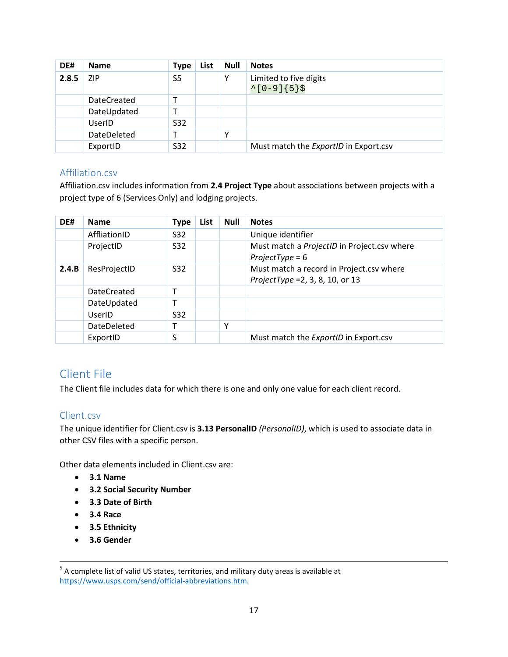| DE#   | <b>Name</b>        | <b>Type</b>     | List | <b>Null</b> | <b>Notes</b>                                   |  |  |  |
|-------|--------------------|-----------------|------|-------------|------------------------------------------------|--|--|--|
| 2.8.5 | ZIP.               | S5              |      |             | Limited to five digits<br>$^{\sim}$ [0-9]{5}\$ |  |  |  |
|       | <b>DateCreated</b> |                 |      |             |                                                |  |  |  |
|       | DateUpdated        |                 |      |             |                                                |  |  |  |
|       | UserID             | S <sub>32</sub> |      |             |                                                |  |  |  |
|       | DateDeleted        |                 |      |             |                                                |  |  |  |
|       | ExportID           | S32             |      |             | Must match the ExportID in Export.csv          |  |  |  |

#### <span id="page-17-0"></span>Affiliation.csv

Affiliation.csv includes information from **2.4 Project Type** about associations between projects with a project type of 6 (Services Only) and lodging projects.

| DE#   | <b>Name</b>        | <b>Type</b>     | List | <b>Null</b> | <b>Notes</b>                                                                 |
|-------|--------------------|-----------------|------|-------------|------------------------------------------------------------------------------|
|       | AffliationID       | S32             |      |             | Unique identifier                                                            |
|       | ProjectID          | S <sub>32</sub> |      |             | Must match a ProjectID in Project.csv where<br>$ProjectType = 6$             |
| 2.4.B | ResProjectID       | S <sub>32</sub> |      |             | Must match a record in Project.csv where<br>ProjectType = 2, 3, 8, 10, or 13 |
|       | <b>DateCreated</b> |                 |      |             |                                                                              |
|       | DateUpdated        |                 |      |             |                                                                              |
|       | UserID             | S <sub>32</sub> |      |             |                                                                              |
|       | <b>DateDeleted</b> |                 |      | Υ           |                                                                              |
|       | ExportID           | S               |      |             | Must match the ExportID in Export.csv                                        |

### <span id="page-17-1"></span>Client File

The Client file includes data for which there is one and only one value for each client record.

#### <span id="page-17-2"></span>Client.csv

The unique identifier for Client.csv is **3.13 PersonalID** *(PersonalID)*, which is used to associate data in other CSV files with a specific person.

Other data elements included in Client.csv are:

- **3.1 Name**
- **3.2 Social Security Number**
- **3.3 Date of Birth**
- **3.4 Race**
- **3.5 Ethnicity**
- **3.6 Gender**

<sup>&</sup>lt;sup>5</sup> A complete list of valid US states, territories, and military duty areas is available at [https://www.usps.com/send/official-abbreviations.htm.](https://www.usps.com/send/official-abbreviations.htm)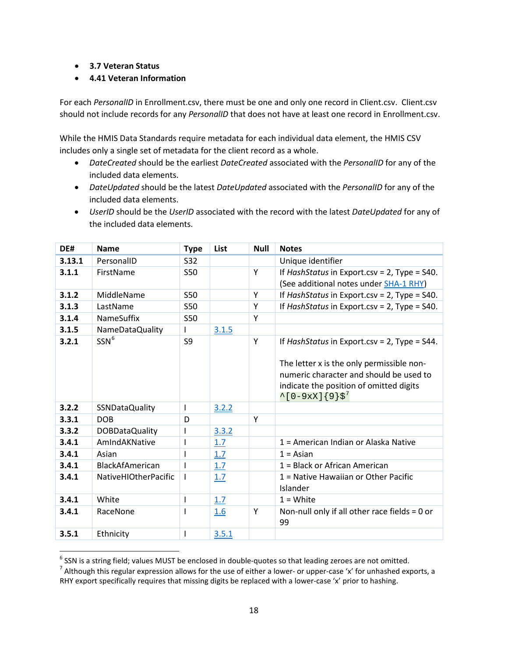• **3.7 Veteran Status**

l

• **4.41 Veteran Information**

For each *PersonalID* in Enrollment.csv, there must be one and only one record in Client.csv. Client.csv should not include records for any *PersonalID* that does not have at least one record in Enrollment.csv.

While the HMIS Data Standards require metadata for each individual data element, the HMIS CSV includes only a single set of metadata for the client record as a whole.

- *DateCreated* should be the earliest *DateCreated* associated with the *PersonalID* for any of the included data elements.
- *DateUpdated* should be the latest *DateUpdated* associated with the *PersonalID* for any of the included data elements.
- *UserID* should be the *UserID* associated with the record with the latest *DateUpdated* for any of the included data elements.

| DE#    | <b>Name</b>                 | <b>Type</b> | List  | <b>Null</b> | <b>Notes</b>                                                                                                                                                                                                              |
|--------|-----------------------------|-------------|-------|-------------|---------------------------------------------------------------------------------------------------------------------------------------------------------------------------------------------------------------------------|
| 3.13.1 | PersonalID                  | S32         |       |             | Unique identifier                                                                                                                                                                                                         |
| 3.1.1  | FirstName                   | <b>S50</b>  |       | Y           | If HashStatus in Export.csv = $2$ , Type = S40.                                                                                                                                                                           |
|        |                             |             |       |             | (See additional notes under <b>SHA-1 RHY</b> )                                                                                                                                                                            |
| 3.1.2  | MiddleName                  | <b>S50</b>  |       | Y           | If HashStatus in Export.csv = 2, Type = S40.                                                                                                                                                                              |
| 3.1.3  | LastName                    | <b>S50</b>  |       | Y           | If HashStatus in Export.csv = $2$ , Type = S40.                                                                                                                                                                           |
| 3.1.4  | <b>NameSuffix</b>           | S50         |       | Y           |                                                                                                                                                                                                                           |
| 3.1.5  | NameDataQuality             | L           | 3.1.5 |             |                                                                                                                                                                                                                           |
| 3.2.1  | SSN <sup>6</sup>            | S9          |       | Y           | If HashStatus in Export.csv = $2$ , Type = S44.<br>The letter x is the only permissible non-<br>numeric character and should be used to<br>indicate the position of omitted digits<br>$^{\sim}$ [0-9xX]{9}\$ <sup>7</sup> |
| 3.2.2  | SSNDataQuality              | L           | 3.2.2 |             |                                                                                                                                                                                                                           |
| 3.3.1  | <b>DOB</b>                  | D           |       | Y           |                                                                                                                                                                                                                           |
| 3.3.2  | <b>DOBDataQuality</b>       |             | 3.3.2 |             |                                                                                                                                                                                                                           |
| 3.4.1  | AmIndAKNative               |             | 1.7   |             | 1 = American Indian or Alaska Native                                                                                                                                                                                      |
| 3.4.1  | Asian                       |             | 1.7   |             | $1 = Asian$                                                                                                                                                                                                               |
| 3.4.1  | <b>BlackAfAmerican</b>      |             | 1.7   |             | 1 = Black or African American                                                                                                                                                                                             |
| 3.4.1  | <b>NativeHIOtherPacific</b> |             | 1.7   |             | 1 = Native Hawaiian or Other Pacific<br>Islander                                                                                                                                                                          |
| 3.4.1  | White                       | I           | 1.7   |             | $1 =$ White                                                                                                                                                                                                               |
| 3.4.1  | RaceNone                    |             | 1.6   | Y           | Non-null only if all other race fields $= 0$ or<br>99                                                                                                                                                                     |
| 3.5.1  | Ethnicity                   |             | 3.5.1 |             |                                                                                                                                                                                                                           |

<span id="page-18-1"></span><span id="page-18-0"></span><sup>&</sup>lt;sup>6</sup> SSN is a string field; values MUST be enclosed in double-quotes so that leading zeroes are not omitted.<br><sup>7</sup> Although this regular expression allows for the use of either a lower- or upper-case 'x' for unhashed exports RHY export specifically requires that missing digits be replaced with a lower-case 'x' prior to hashing.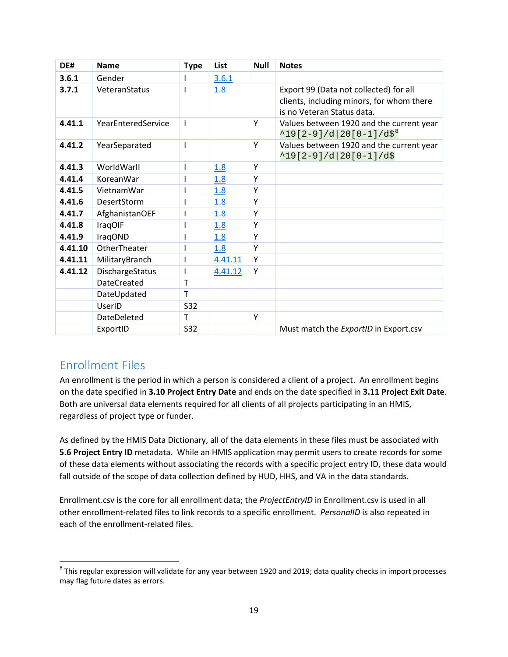| DE#     | <b>Name</b>        | <b>Type</b> | List    | <b>Null</b> | <b>Notes</b>                                                                                                      |
|---------|--------------------|-------------|---------|-------------|-------------------------------------------------------------------------------------------------------------------|
| 3.6.1   | Gender             |             | 3.6.1   |             |                                                                                                                   |
| 3.7.1   | VeteranStatus      |             | 1.8     |             | Export 99 (Data not collected) for all<br>clients, including minors, for whom there<br>is no Veteran Status data. |
| 4.41.1  | YearEnteredService | L           |         | Y           | Values between 1920 and the current year<br>$^419[2-9]/d 20[0-1]/d$ \$ <sup>8</sup>                               |
| 4.41.2  | YearSeparated      |             |         | Y           | Values between 1920 and the current year<br>$^19[2-9]/d 20[0-1]/d$$                                               |
| 4.41.3  | WorldWarll         |             | 1.8     | Y           |                                                                                                                   |
| 4.41.4  | KoreanWar          |             | 1.8     | Y           |                                                                                                                   |
| 4.41.5  | VietnamWar         |             | 1.8     | Y           |                                                                                                                   |
| 4.41.6  | <b>DesertStorm</b> |             | 1.8     | Y           |                                                                                                                   |
| 4.41.7  | AfghanistanOEF     |             | 1.8     | Y           |                                                                                                                   |
| 4.41.8  | IraqOIF            |             | 1.8     | Y           |                                                                                                                   |
| 4.41.9  | IraqOND            |             | 1.8     | Y           |                                                                                                                   |
| 4.41.10 | OtherTheater       |             | 1.8     | Y           |                                                                                                                   |
| 4.41.11 | MilitaryBranch     |             | 4.41.11 | Υ           |                                                                                                                   |
| 4.41.12 | DischargeStatus    |             | 4.41.12 | Y           |                                                                                                                   |
|         | <b>DateCreated</b> | T           |         |             |                                                                                                                   |
|         | DateUpdated        | T           |         |             |                                                                                                                   |
|         | UserID             | <b>S32</b>  |         |             |                                                                                                                   |
|         | DateDeleted        | T           |         | Y           |                                                                                                                   |
|         | ExportID           | <b>S32</b>  |         |             | Must match the ExportID in Export.csv                                                                             |

### <span id="page-19-0"></span>Enrollment Files

 $\overline{\phantom{a}}$ 

An enrollment is the period in which a person is considered a client of a project. An enrollment begins on the date specified in **3.10 Project Entry Date** and ends on the date specified in **3.11 Project Exit Date**. Both are universal data elements required for all clients of all projects participating in an HMIS, regardless of project type or funder.

As defined by the HMIS Data Dictionary, all of the data elements in these files must be associated with **5.6 Project Entry ID** metadata. While an HMIS application may permit users to create records for some of these data elements without associating the records with a specific project entry ID, these data would fall outside of the scope of data collection defined by HUD, HHS, and VA in the data standards.

Enrollment.csv is the core for all enrollment data; the *ProjectEntryID* in Enrollment.csv is used in all other enrollment-related files to link records to a specific enrollment. *PersonalID* is also repeated in each of the enrollment-related files.

<span id="page-19-1"></span> $8$  This regular expression will validate for any year between 1920 and 2019; data quality checks in import processes may flag future dates as errors.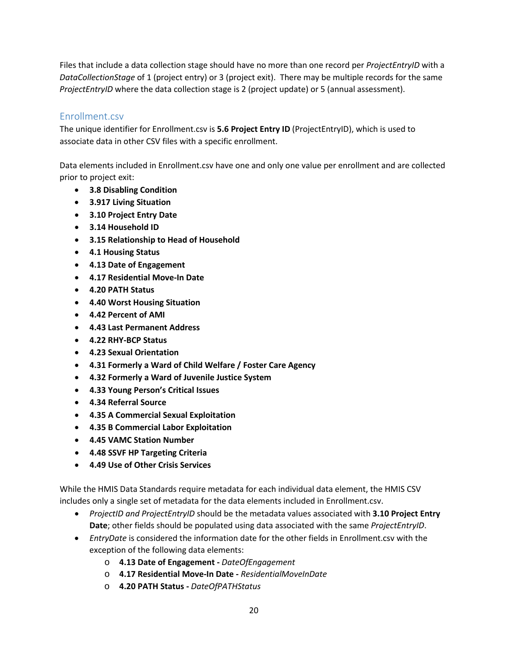Files that include a data collection stage should have no more than one record per *ProjectEntryID* with a *DataCollectionStage* of 1 (project entry) or 3 (project exit). There may be multiple records for the same *ProjectEntryID* where the data collection stage is 2 (project update) or 5 (annual assessment).

#### <span id="page-20-0"></span>Enrollment.csv

The unique identifier for Enrollment.csv is **5.6 Project Entry ID** (ProjectEntryID), which is used to associate data in other CSV files with a specific enrollment.

Data elements included in Enrollment.csv have one and only one value per enrollment and are collected prior to project exit:

- **3.8 Disabling Condition**
- **3.917 Living Situation**
- **3.10 Project Entry Date**
- **3.14 Household ID**
- **3.15 Relationship to Head of Household**
- **4.1 Housing Status**
- **4.13 Date of Engagement**
- **4.17 Residential Move-In Date**
- **4.20 PATH Status**
- **4.40 Worst Housing Situation**
- **4.42 Percent of AMI**
- **4.43 Last Permanent Address**
- **4.22 RHY-BCP Status**
- **4.23 Sexual Orientation**
- **4.31 Formerly a Ward of Child Welfare / Foster Care Agency**
- **4.32 Formerly a Ward of Juvenile Justice System**
- **4.33 Young Person's Critical Issues**
- **4.34 Referral Source**
- **4.35 A Commercial Sexual Exploitation**
- **4.35 B Commercial Labor Exploitation**
- **4.45 VAMC Station Number**
- **4.48 SSVF HP Targeting Criteria**
- **4.49 Use of Other Crisis Services**

While the HMIS Data Standards require metadata for each individual data element, the HMIS CSV includes only a single set of metadata for the data elements included in Enrollment.csv.

- *ProjectID and ProjectEntryID* should be the metadata values associated with **3.10 Project Entry Date**; other fields should be populated using data associated with the same *ProjectEntryID*.
- *EntryDate* is considered the information date for the other fields in Enrollment.csv with the exception of the following data elements:
	- o **4.13 Date of Engagement** *DateOfEngagement*
	- o **4.17 Residential Move-In Date** *ResidentialMoveInDate*
	- o **4.20 PATH Status** *DateOfPATHStatus*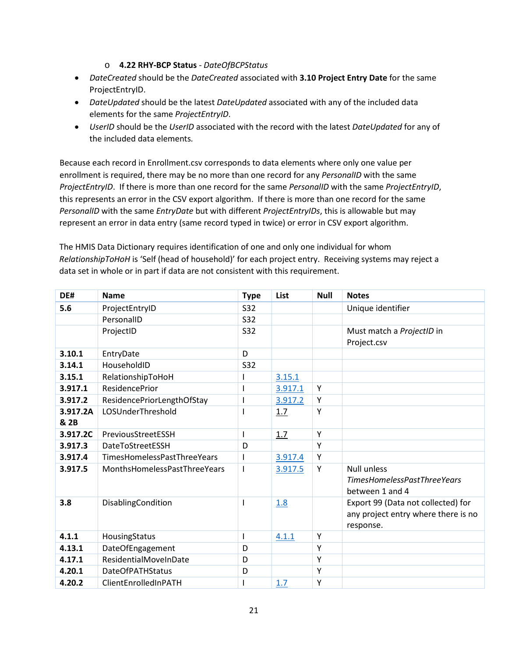#### o **4.22 RHY-BCP Status** - *DateOfBCPStatus*

- *DateCreated* should be the *DateCreated* associated with **3.10 Project Entry Date** for the same ProjectEntryID.
- *DateUpdated* should be the latest *DateUpdated* associated with any of the included data elements for the same *ProjectEntryID*.
- *UserID* should be the *UserID* associated with the record with the latest *DateUpdated* for any of the included data elements.

Because each record in Enrollment.csv corresponds to data elements where only one value per enrollment is required, there may be no more than one record for any *PersonalID* with the same *ProjectEntryID*. If there is more than one record for the same *PersonalID* with the same *ProjectEntryID*, this represents an error in the CSV export algorithm. If there is more than one record for the same *PersonalID* with the same *EntryDate* but with different *ProjectEntryIDs*, this is allowable but may represent an error in data entry (same record typed in twice) or error in CSV export algorithm.

The HMIS Data Dictionary requires identification of one and only one individual for whom *RelationshipToHoH* is 'Self (head of household)' for each project entry. Receiving systems may reject a data set in whole or in part if data are not consistent with this requirement.

| DE#              | <b>Name</b>                  | <b>Type</b> | List    | <b>Null</b> | <b>Notes</b>                                                                           |
|------------------|------------------------------|-------------|---------|-------------|----------------------------------------------------------------------------------------|
| 5.6              | ProjectEntryID               | S32         |         |             | Unique identifier                                                                      |
|                  | PersonalID                   | <b>S32</b>  |         |             |                                                                                        |
|                  | ProjectID                    | <b>S32</b>  |         |             | Must match a ProjectID in<br>Project.csv                                               |
| 3.10.1           | EntryDate                    | D           |         |             |                                                                                        |
| 3.14.1           | HouseholdID                  | <b>S32</b>  |         |             |                                                                                        |
| 3.15.1           | RelationshipToHoH            |             | 3.15.1  |             |                                                                                        |
| 3.917.1          | <b>ResidencePrior</b>        |             | 3.917.1 | Υ           |                                                                                        |
| 3.917.2          | ResidencePriorLengthOfStay   |             | 3.917.2 | Υ           |                                                                                        |
| 3.917.2A<br>& 2B | LOSUnderThreshold            |             | 1.7     | Y           |                                                                                        |
| 3.917.2C         | PreviousStreetESSH           | I           | 1.7     | Y           |                                                                                        |
| 3.917.3          | <b>DateToStreetESSH</b>      | D           |         | Y           |                                                                                        |
| 3.917.4          | TimesHomelessPastThreeYears  | ı           | 3.917.4 | Υ           |                                                                                        |
| 3.917.5          | MonthsHomelessPastThreeYears |             | 3.917.5 | Y           | <b>Null unless</b><br><b>TimesHomelessPastThreeYears</b><br>between 1 and 4            |
| 3.8              | DisablingCondition           | ı           | 1.8     |             | Export 99 (Data not collected) for<br>any project entry where there is no<br>response. |
| 4.1.1            | HousingStatus                | I           | 4.1.1   | Υ           |                                                                                        |
| 4.13.1           | DateOfEngagement             | D           |         | Y           |                                                                                        |
| 4.17.1           | ResidentialMoveInDate        | D           |         | Υ           |                                                                                        |
| 4.20.1           | <b>DateOfPATHStatus</b>      | D           |         | Υ           |                                                                                        |
| 4.20.2           | ClientEnrolledInPATH         |             | 1.7     | Y           |                                                                                        |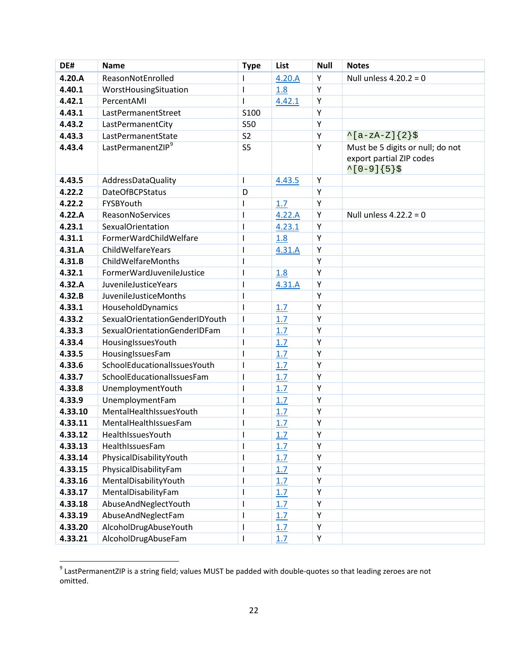| DE#     | <b>Name</b>                    | <b>Type</b>    | List   | <b>Null</b> | <b>Notes</b>                                                                         |
|---------|--------------------------------|----------------|--------|-------------|--------------------------------------------------------------------------------------|
| 4.20.A  | ReasonNotEnrolled              | I              | 4.20.A | Υ           | Null unless $4.20.2 = 0$                                                             |
| 4.40.1  | WorstHousingSituation          | T              | 1.8    | Υ           |                                                                                      |
| 4.42.1  | PercentAMI                     | ı              | 4.42.1 | Y           |                                                                                      |
| 4.43.1  | LastPermanentStreet            | S100           |        | Y           |                                                                                      |
| 4.43.2  | LastPermanentCity              | <b>S50</b>     |        | Υ           |                                                                                      |
| 4.43.3  | LastPermanentState             | S <sub>2</sub> |        | Υ           | $^{\wedge}$ [a-zA-Z]{2}\$                                                            |
| 4.43.4  | LastPermanentZIP <sup>9</sup>  | S <sub>5</sub> |        | Y           | Must be 5 digits or null; do not<br>export partial ZIP codes<br>$^{\sim}$ [0-9]{5}\$ |
| 4.43.5  | AddressDataQuality             | I              | 4.43.5 | Y           |                                                                                      |
| 4.22.2  | <b>DateOfBCPStatus</b>         | D              |        | Y           |                                                                                      |
| 4.22.2  | FYSBYouth                      | L              | 1.7    | Υ           |                                                                                      |
| 4.22.A  | ReasonNoServices               | ı              | 4.22.A | Υ           | Null unless $4.22.2 = 0$                                                             |
| 4.23.1  | <b>SexualOrientation</b>       | I              | 4.23.1 | Υ           |                                                                                      |
| 4.31.1  | FormerWardChildWelfare         | ı              | 1.8    | Υ           |                                                                                      |
| 4.31.A  | ChildWelfareYears              | I              | 4.31.A | Y           |                                                                                      |
| 4.31.B  | ChildWelfareMonths             | I              |        | Y           |                                                                                      |
| 4.32.1  | FormerWardJuvenileJustice      | ı              | 1.8    | Y           |                                                                                      |
| 4.32.A  | <b>JuvenileJusticeYears</b>    | ı              | 4.31.A | Y           |                                                                                      |
| 4.32.B  | <b>JuvenileJusticeMonths</b>   | ı              |        | Υ           |                                                                                      |
| 4.33.1  | HouseholdDynamics              | ı              | 1.7    | Υ           |                                                                                      |
| 4.33.2  | SexualOrientationGenderIDYouth | I              | 1.7    | Y           |                                                                                      |
| 4.33.3  | SexualOrientationGenderIDFam   | I              | 1.7    | Υ           |                                                                                      |
| 4.33.4  | HousingIssuesYouth             | ı              | 1.7    | Υ           |                                                                                      |
| 4.33.5  | HousingIssuesFam               | ı              | 1.7    | Y           |                                                                                      |
| 4.33.6  | SchoolEducationalIssuesYouth   | I              | 1.7    | Y           |                                                                                      |
| 4.33.7  | SchoolEducationalIssuesFam     | ı              | 1.7    | Y           |                                                                                      |
| 4.33.8  | UnemploymentYouth              | I              | 1.7    | Υ           |                                                                                      |
| 4.33.9  | UnemploymentFam                | ı              | 1.7    | Y           |                                                                                      |
| 4.33.10 | MentalHealthIssuesYouth        | ı              | 1.7    | Y           |                                                                                      |
| 4.33.11 | MentalHealthIssuesFam          | T              | 1.7    | Υ           |                                                                                      |
| 4.33.12 | HealthIssuesYouth              | L              | 1.7    | Υ           |                                                                                      |
| 4.33.13 | HealthIssuesFam                |                | 1.7    | Y           |                                                                                      |
| 4.33.14 | PhysicalDisabilityYouth        | T              | 1.7    | Υ           |                                                                                      |
| 4.33.15 | PhysicalDisabilityFam          | I              | 1.7    | Υ           |                                                                                      |
| 4.33.16 | MentalDisabilityYouth          | I              | 1.7    | Υ           |                                                                                      |
| 4.33.17 | MentalDisabilityFam            | I              | 1.7    | Υ           |                                                                                      |
| 4.33.18 | AbuseAndNeglectYouth           | I              | 1.7    | Υ           |                                                                                      |
| 4.33.19 | AbuseAndNeglectFam             | ı              | 1.7    | Υ           |                                                                                      |
| 4.33.20 | AlcoholDrugAbuseYouth          | I              | 1.7    | Υ           |                                                                                      |
| 4.33.21 | AlcoholDrugAbuseFam            | T              | 1.7    | Υ           |                                                                                      |

<span id="page-22-0"></span> $^9$  LastPermanentZIP is a string field; values MUST be padded with double-quotes so that leading zeroes are not omitted.

 $\overline{\phantom{a}}$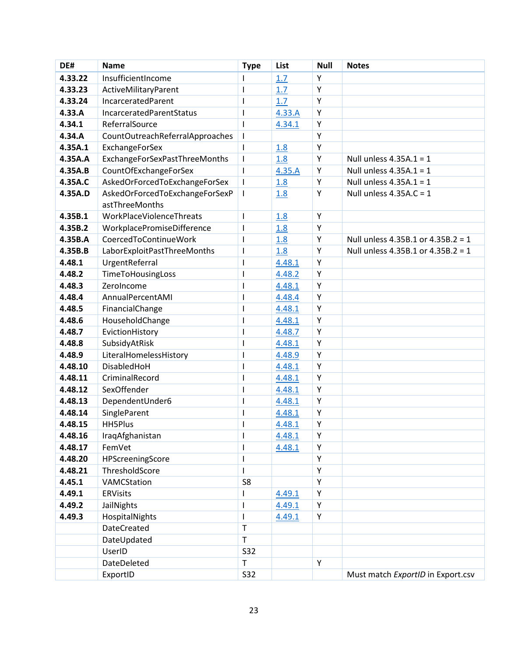| DE#     | <b>Name</b>                                      | <b>Type</b>              | List             | <b>Null</b> | <b>Notes</b>                       |
|---------|--------------------------------------------------|--------------------------|------------------|-------------|------------------------------------|
| 4.33.22 | InsufficientIncome                               |                          | 1.7              | Υ           |                                    |
| 4.33.23 | ActiveMilitaryParent                             | ı                        | 1.7              | Υ           |                                    |
| 4.33.24 | IncarceratedParent                               | ı                        | 1.7              | Υ           |                                    |
| 4.33.A  | IncarceratedParentStatus                         | I                        | 4.33.A           | Υ           |                                    |
| 4.34.1  | ReferralSource                                   | ı                        | 4.34.1           | Υ           |                                    |
| 4.34.A  | CountOutreachReferralApproaches                  | T                        |                  | Υ           |                                    |
| 4.35A.1 | ExchangeForSex                                   | $\overline{\phantom{a}}$ | 1.8              | Υ           |                                    |
| 4.35A.A | ExchangeForSexPastThreeMonths                    | T                        | 1.8              | Υ           | Null unless $4.35A.1 = 1$          |
| 4.35A.B | CountOfExchangeForSex                            | T                        | 4.35.A           | Υ           | Null unless $4.35A.1 = 1$          |
| 4.35A.C | AskedOrForcedToExchangeForSex                    | $\mathsf{I}$             | 1.8              | Υ           | Null unless $4.35A.1 = 1$          |
| 4.35A.D | AskedOrForcedToExchangeForSexP<br>astThreeMonths | $\mathsf{I}$             | 1.8              | Υ           | Null unless $4.35A.C = 1$          |
| 4.35B.1 | WorkPlaceViolenceThreats                         | I                        |                  | Υ           |                                    |
| 4.35B.2 | WorkplacePromiseDifference                       | I                        | 1.8              | Υ           |                                    |
| 4.35B.A | CoercedToContinueWork                            | T                        | 1.8<br>1.8       | Υ           | Null unless 4.35B.1 or 4.35B.2 = 1 |
| 4.35B.B | LaborExploitPastThreeMonths                      | T                        |                  | Υ           | Null unless 4.35B.1 or 4.35B.2 = 1 |
| 4.48.1  | UrgentReferral                                   | ı                        | 1.8              | Υ           |                                    |
| 4.48.2  | TimeToHousingLoss                                | T                        | 4.48.1<br>4.48.2 | Υ           |                                    |
| 4.48.3  | ZeroIncome                                       | ı                        | 4.48.1           | Υ           |                                    |
| 4.48.4  | AnnualPercentAMI                                 | ı                        | 4.48.4           | Υ           |                                    |
| 4.48.5  | FinancialChange                                  | I                        | 4.48.1           | Υ           |                                    |
| 4.48.6  | HouseholdChange                                  | ı                        | 4.48.1           | Υ           |                                    |
| 4.48.7  | EvictionHistory                                  | I                        | 4.48.7           | Υ           |                                    |
| 4.48.8  | SubsidyAtRisk                                    | I                        | 4.48.1           | Υ           |                                    |
| 4.48.9  | LiteralHomelessHistory                           | ı                        | 4.48.9           | Υ           |                                    |
| 4.48.10 | DisabledHoH                                      | I                        | 4.48.1           | Υ           |                                    |
| 4.48.11 | CriminalRecord                                   | ı                        | 4.48.1           | Υ           |                                    |
| 4.48.12 | SexOffender                                      | ı                        | 4.48.1           | Υ           |                                    |
| 4.48.13 | DependentUnder6                                  | I                        | 4.48.1           | Υ           |                                    |
| 4.48.14 | SingleParent                                     | ı                        | 4.48.1           | Υ           |                                    |
| 4.48.15 | <b>HH5Plus</b>                                   | ı                        | 4.48.1           | Υ           |                                    |
| 4.48.16 | IraqAfghanistan                                  | I                        | 4.48.1           | Υ           |                                    |
| 4.48.17 | FemVet                                           |                          | 4.48.1           | Υ           |                                    |
| 4.48.20 | HPScreeningScore                                 | ı                        |                  | Υ           |                                    |
| 4.48.21 | ThresholdScore                                   | T                        |                  | Υ           |                                    |
| 4.45.1  | VAMCStation                                      | S8                       |                  | Υ           |                                    |
| 4.49.1  | <b>ERVisits</b>                                  |                          | 4.49.1           | Υ           |                                    |
| 4.49.2  | <b>JailNights</b>                                | ı                        | 4.49.1           | Υ           |                                    |
| 4.49.3  | HospitalNights                                   |                          | 4.49.1           | Υ           |                                    |
|         | <b>DateCreated</b>                               | $\mathsf T$              |                  |             |                                    |
|         | DateUpdated                                      | T                        |                  |             |                                    |
|         | UserID                                           | <b>S32</b>               |                  |             |                                    |
|         | DateDeleted                                      | T                        |                  | Υ           |                                    |
|         | ExportID                                         | <b>S32</b>               |                  |             | Must match ExportID in Export.csv  |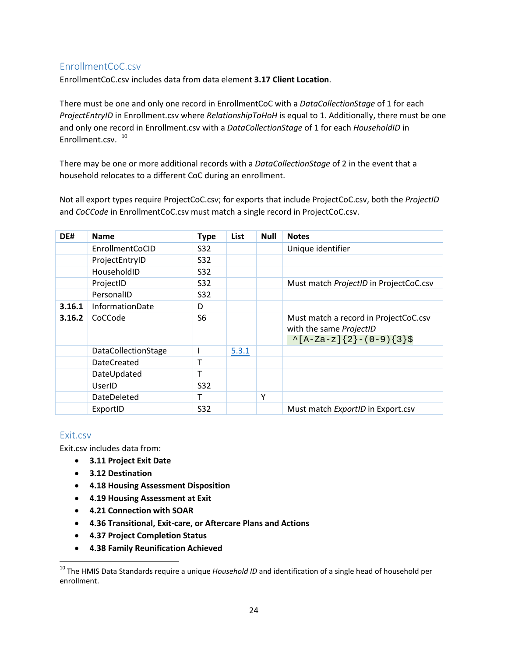### <span id="page-24-0"></span>EnrollmentCoC.csv

EnrollmentCoC.csv includes data from data element **3.17 Client Location**.

There must be one and only one record in EnrollmentCoC with a *DataCollectionStage* of 1 for each *ProjectEntryID* in Enrollment.csv where *RelationshipToHoH* is equal to 1. Additionally, there must be one and only one record in Enrollment.csv with a *DataCollectionStage* of 1 for each *HouseholdID* in Enrollment.csv. [10](#page-24-2)

There may be one or more additional records with a *DataCollectionStage* of 2 in the event that a household relocates to a different CoC during an enrollment.

Not all export types require ProjectCoC.csv; for exports that include ProjectCoC.csv, both the *ProjectID* and *CoCCode* in EnrollmentCoC.csv must match a single record in ProjectCoC.csv.

| DE#    | <b>Name</b>         | <b>Type</b>    | List  | <b>Null</b> | <b>Notes</b>                                                                                    |
|--------|---------------------|----------------|-------|-------------|-------------------------------------------------------------------------------------------------|
|        | EnrollmentCoCID     | S32            |       |             | Unique identifier                                                                               |
|        | ProjectEntryID      | <b>S32</b>     |       |             |                                                                                                 |
|        | HouseholdID         | <b>S32</b>     |       |             |                                                                                                 |
|        | ProjectID           | <b>S32</b>     |       |             | Must match ProjectID in ProjectCoC.csv                                                          |
|        | PersonalID          | <b>S32</b>     |       |             |                                                                                                 |
| 3.16.1 | InformationDate     | D              |       |             |                                                                                                 |
| 3.16.2 | CoCCode             | S <sub>6</sub> |       |             | Must match a record in ProjectCoC.csv<br>with the same ProjectID<br>$\{A-Za-z\}$ {2}-(0-9){3}\$ |
|        | DataCollectionStage |                | 5.3.1 |             |                                                                                                 |
|        | <b>DateCreated</b>  |                |       |             |                                                                                                 |
|        | DateUpdated         | т              |       |             |                                                                                                 |
|        | UserID              | <b>S32</b>     |       |             |                                                                                                 |
|        | DateDeleted         | т              |       | Υ           |                                                                                                 |
|        | ExportID            | <b>S32</b>     |       |             | Must match ExportID in Export.csv                                                               |

#### <span id="page-24-1"></span>Exit.csv

 $\overline{\phantom{a}}$ 

Exit.csv includes data from:

- **3.11 Project Exit Date**
- **3.12 Destination**
- **4.18 Housing Assessment Disposition**
- **4.19 Housing Assessment at Exit**
- **4.21 Connection with SOAR**
- **4.36 Transitional, Exit-care, or Aftercare Plans and Actions**
- **4.37 Project Completion Status**
- **4.38 Family Reunification Achieved**

<span id="page-24-2"></span><sup>&</sup>lt;sup>10</sup> The HMIS Data Standards require a unique *Household ID* and identification of a single head of household per enrollment.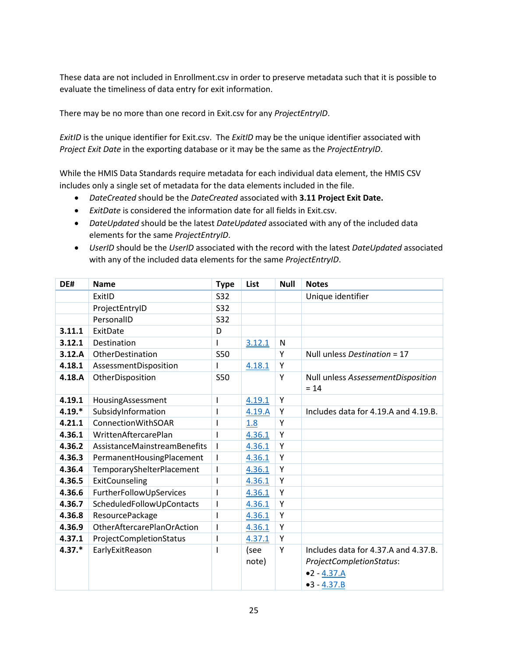These data are not included in Enrollment.csv in order to preserve metadata such that it is possible to evaluate the timeliness of data entry for exit information.

There may be no more than one record in Exit.csv for any *ProjectEntryID*.

*ExitID* is the unique identifier for Exit.csv. The *ExitID* may be the unique identifier associated with *Project Exit Date* in the exporting database or it may be the same as the *ProjectEntryID*.

While the HMIS Data Standards require metadata for each individual data element, the HMIS CSV includes only a single set of metadata for the data elements included in the file.

- *DateCreated* should be the *DateCreated* associated with **3.11 Project Exit Date.**
- *ExitDate* is considered the information date for all fields in Exit.csv.
- *DateUpdated* should be the latest *DateUpdated* associated with any of the included data elements for the same *ProjectEntryID*.
- *UserID* should be the *UserID* associated with the record with the latest *DateUpdated* associated with any of the included data elements for the same *ProjectEntryID*.

| DE#      | <b>Name</b>                         | <b>Type</b>              | List   | <b>Null</b> | <b>Notes</b>                                 |
|----------|-------------------------------------|--------------------------|--------|-------------|----------------------------------------------|
|          | ExitID                              | <b>S32</b>               |        |             | Unique identifier                            |
|          | ProjectEntryID                      | <b>S32</b>               |        |             |                                              |
|          | PersonalID                          | <b>S32</b>               |        |             |                                              |
| 3.11.1   | ExitDate                            | D                        |        |             |                                              |
| 3.12.1   | Destination                         |                          | 3.12.1 | N           |                                              |
| 3.12.A   | OtherDestination                    | <b>S50</b>               |        | Y           | Null unless Destination = 17                 |
| 4.18.1   | AssessmentDisposition               |                          | 4.18.1 | Y           |                                              |
| 4.18.A   | OtherDisposition                    | <b>S50</b>               |        | Y           | Null unless AssessementDisposition<br>$= 14$ |
| 4.19.1   | HousingAssessment                   | I                        | 4.19.1 | Υ           |                                              |
| $4.19.*$ | SubsidyInformation                  |                          | 4.19.A | Y           | Includes data for 4.19.A and 4.19.B.         |
| 4.21.1   | <b>ConnectionWithSOAR</b>           |                          | 1.8    | Y           |                                              |
| 4.36.1   | WrittenAftercarePlan                |                          | 4.36.1 | Y           |                                              |
| 4.36.2   | <b>AssistanceMainstreamBenefits</b> |                          | 4.36.1 | Y           |                                              |
| 4.36.3   | PermanentHousingPlacement           | ı                        | 4.36.1 | Y           |                                              |
| 4.36.4   | TemporaryShelterPlacement           |                          | 4.36.1 | Y           |                                              |
| 4.36.5   | ExitCounseling                      | ı                        | 4.36.1 | Y           |                                              |
| 4.36.6   | FurtherFollowUpServices             |                          | 4.36.1 | Υ           |                                              |
| 4.36.7   | ScheduledFollowUpContacts           | $\overline{\phantom{a}}$ | 4.36.1 | Y           |                                              |
| 4.36.8   | ResourcePackage                     |                          | 4.36.1 | Y           |                                              |
| 4.36.9   | OtherAftercarePlanOrAction          | $\overline{\phantom{a}}$ | 4.36.1 | Y           |                                              |
| 4.37.1   | ProjectCompletionStatus             | I                        | 4.37.1 | Y           |                                              |
| $4.37.*$ | EarlyExitReason                     | I                        | (see   | Υ           | Includes data for 4.37.A and 4.37.B.         |
|          |                                     |                          | note)  |             | ProjectCompletionStatus:                     |
|          |                                     |                          |        |             | $•2 - 4.37.A$                                |
|          |                                     |                          |        |             | $•3 - 4.37.B$                                |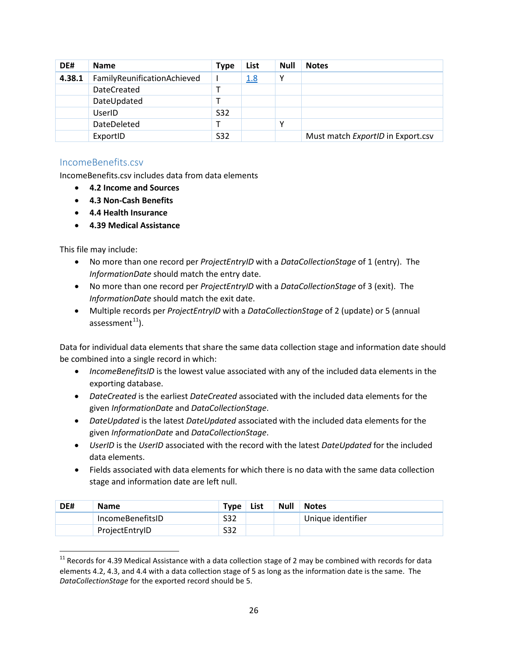| DE#    | <b>Name</b>                 | <b>Type</b> | List       | <b>Null</b> | <b>Notes</b>                      |
|--------|-----------------------------|-------------|------------|-------------|-----------------------------------|
| 4.38.1 | FamilyReunificationAchieved |             | <u>1.8</u> | v           |                                   |
|        | <b>DateCreated</b>          |             |            |             |                                   |
|        | DateUpdated                 |             |            |             |                                   |
|        | UserID                      | S32         |            |             |                                   |
|        | DateDeleted                 |             |            | v           |                                   |
|        | ExportID                    | <b>S32</b>  |            |             | Must match ExportID in Export.csv |

#### <span id="page-26-0"></span>IncomeBenefits.csv

IncomeBenefits.csv includes data from data elements

- **4.2 Income and Sources**
- **4.3 Non-Cash Benefits**
- **4.4 Health Insurance**
- **4.39 Medical Assistance**

This file may include:

l

- No more than one record per *ProjectEntryID* with a *DataCollectionStage* of 1 (entry). The *InformationDate* should match the entry date.
- No more than one record per *ProjectEntryID* with a *DataCollectionStage* of 3 (exit). The *InformationDate* should match the exit date.
- Multiple records per *ProjectEntryID* with a *DataCollectionStage* of 2 (update) or 5 (annual assessment $^{11}$  $^{11}$  $^{11}$ ).

Data for individual data elements that share the same data collection stage and information date should be combined into a single record in which:

- *IncomeBenefitsID* is the lowest value associated with any of the included data elements in the exporting database.
- *DateCreated* is the earliest *DateCreated* associated with the included data elements for the given *InformationDate* and *DataCollectionStage*.
- *DateUpdated* is the latest *DateUpdated* associated with the included data elements for the given *InformationDate* and *DataCollectionStage*.
- *UserID* is the *UserID* associated with the record with the latest *DateUpdated* for the included data elements.
- Fields associated with data elements for which there is no data with the same data collection stage and information date are left null.

| DE# | <b>Name</b>      | <b>Type</b> | List | <b>Null</b> | <b>Notes</b>      |
|-----|------------------|-------------|------|-------------|-------------------|
|     | IncomeBenefitsID | <b>S32</b>  |      |             | Unique identifier |
|     | ProjectEntryID   | S32         |      |             |                   |

<span id="page-26-1"></span> $11$  Records for 4.39 Medical Assistance with a data collection stage of 2 may be combined with records for data elements 4.2, 4.3, and 4.4 with a data collection stage of 5 as long as the information date is the same. The *DataCollectionStage* for the exported record should be 5.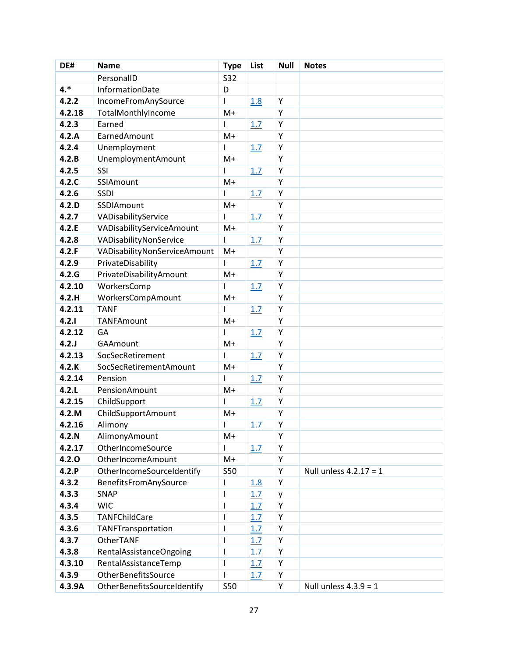| DE#    | <b>Name</b>                  | <b>Type</b>  | List       | <b>Null</b> | <b>Notes</b>             |
|--------|------------------------------|--------------|------------|-------------|--------------------------|
|        | PersonalID                   | <b>S32</b>   |            |             |                          |
| $4.*$  | InformationDate              | D            |            |             |                          |
| 4.2.2  | IncomeFromAnySource          | ı            | 1.8        | Υ           |                          |
| 4.2.18 | TotalMonthlyIncome           | $M+$         |            | Y           |                          |
| 4.2.3  | Earned                       | ı            | 1.7        | Υ           |                          |
| 4.2.A  | EarnedAmount                 | $M+$         |            | Υ           |                          |
| 4.2.4  | Unemployment                 |              | 1.7        | Υ           |                          |
| 4.2.B  | <b>UnemploymentAmount</b>    | $M+$         |            | Y           |                          |
| 4.2.5  | SSI                          | ı            | 1.7        | Υ           |                          |
| 4.2.C  | SSIAmount                    | $M+$         |            | Y           |                          |
| 4.2.6  | <b>SSDI</b>                  |              | 1.7        | Υ           |                          |
| 4.2.D  | SSDIAmount                   | $M+$         |            | Υ           |                          |
| 4.2.7  | VADisabilityService          | ı            | 1.7        | Y           |                          |
| 4.2.E  | VADisabilityServiceAmount    | $M+$         |            | Υ           |                          |
| 4.2.8  | VADisabilityNonService       | $\mathsf{I}$ | 1.7        | Υ           |                          |
| 4.2.F  | VADisabilityNonServiceAmount | $M+$         |            | Υ           |                          |
| 4.2.9  | PrivateDisability            | ı            | 1.7        | Υ           |                          |
| 4.2.G  | PrivateDisabilityAmount      | $M+$         |            | Y           |                          |
| 4.2.10 | WorkersComp                  | ı            | 1.7        | Y           |                          |
| 4.2.H  | WorkersCompAmount            | $M+$         |            | Y           |                          |
| 4.2.11 | <b>TANF</b>                  | I            | 1.7        | Υ           |                          |
| 4.2.1  | <b>TANFAmount</b>            | $M+$         |            | Υ           |                          |
| 4.2.12 | GA                           |              | 1.7        | Υ           |                          |
| 4.2J   | <b>GAAmount</b>              | $M+$         |            | Y           |                          |
| 4.2.13 | SocSecRetirement             |              | 1.7        | Υ           |                          |
| 4.2.K  | SocSecRetirementAmount       | $M+$         |            | Υ           |                          |
| 4.2.14 | Pension                      | ı            | 1.7        | Υ           |                          |
| 4.2.L  | PensionAmount                | $M+$         |            | Υ           |                          |
| 4.2.15 | ChildSupport                 | ı            | 1.7        | Υ           |                          |
| 4.2.M  | ChildSupportAmount           | $M+$         |            | Υ           |                          |
| 4.2.16 | Alimony                      | ı            | 1.7        | Υ           |                          |
| 4.2.N  | AlimonyAmount                | $M+$         |            | Υ           |                          |
| 4.2.17 | OtherIncomeSource            |              | 1.7        | Y           |                          |
| 4.2.0  | OtherIncomeAmount            | $M+$         |            | Υ           |                          |
| 4.2.P  | OtherIncomeSourceIdentify    | <b>S50</b>   |            | Υ           | Null unless $4.2.17 = 1$ |
| 4.3.2  | BenefitsFromAnySource        | I            | <u>1.8</u> | Υ           |                          |
| 4.3.3  | SNAP                         | $\mathsf{l}$ | 1.7        | y           |                          |
| 4.3.4  | <b>WIC</b>                   | $\mathsf{l}$ | 1.7        | Υ           |                          |
| 4.3.5  | TANFChildCare                | I            | 1.7        | Υ           |                          |
| 4.3.6  | TANFTransportation           | $\mathsf{l}$ | 1.7        | Υ           |                          |
| 4.3.7  | OtherTANF                    | $\mathsf{l}$ | 1.7        | Υ           |                          |
| 4.3.8  | RentalAssistanceOngoing      | $\mathsf{l}$ | 1.7        | Υ           |                          |
| 4.3.10 | RentalAssistanceTemp         | $\mathsf{l}$ | 1.7        | Υ           |                          |
| 4.3.9  | OtherBenefitsSource          | $\mathsf{l}$ | 1.7        | Υ           |                          |
| 4.3.9A | OtherBenefitsSourceIdentify  | <b>S50</b>   |            | Υ           | Null unless $4.3.9 = 1$  |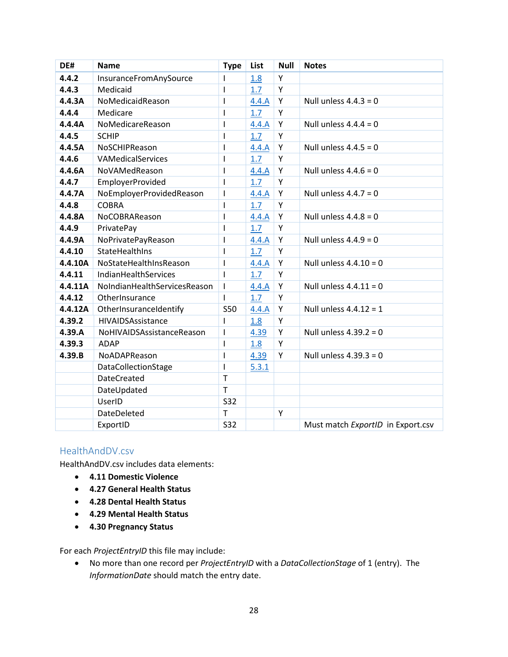| DE#     | <b>Name</b>                  | <b>Type</b>              | List  | <b>Null</b> | <b>Notes</b>                      |
|---------|------------------------------|--------------------------|-------|-------------|-----------------------------------|
| 4.4.2   | InsuranceFromAnySource       |                          | 1.8   | Υ           |                                   |
| 4.4.3   | Medicaid                     | $\mathsf{l}$             | 1.7   | Υ           |                                   |
| 4.4.3A  | NoMedicaidReason             | $\mathsf{l}$             | 4.4.A | Υ           | Null unless $4.4.3 = 0$           |
| 4.4.4   | Medicare                     | $\overline{\phantom{a}}$ | 1.7   | Y           |                                   |
| 4.4.4A  | NoMedicareReason             | $\mathsf{l}$             | 4.4.A | Y           | Null unless $4.4.4 = 0$           |
| 4.4.5   | <b>SCHIP</b>                 | $\mathsf{l}$             | 1.7   | Y           |                                   |
| 4.4.5A  | NoSCHIPReason                | $\overline{\phantom{a}}$ | 4.4.A | Υ           | Null unless $4.4.5 = 0$           |
| 4.4.6   | VAMedicalServices            | $\mathsf{l}$             | 1.7   | Y           |                                   |
| 4.4.6A  | NoVAMedReason                | $\mathsf{l}$             | 4.4.A | Y           | Null unless $4.4.6 = 0$           |
| 4.4.7   | <b>EmployerProvided</b>      | $\overline{\phantom{a}}$ | 1.7   | Y           |                                   |
| 4.4.7A  | NoEmployerProvidedReason     | $\overline{1}$           | 4.4.A | Y           | Null unless $4.4.7 = 0$           |
| 4.4.8   | <b>COBRA</b>                 | $\mathsf{l}$             | 1.7   | Y           |                                   |
| 4.4.8A  | NoCOBRAReason                | $\overline{\phantom{a}}$ | 4.4.A | Υ           | Null unless $4.4.8 = 0$           |
| 4.4.9   | PrivatePay                   | $\mathsf{l}$             | 1.7   | Υ           |                                   |
| 4.4.9A  | NoPrivatePayReason           | $\overline{\phantom{a}}$ | 4.4.A | Y           | Null unless $4.4.9 = 0$           |
| 4.4.10  | <b>StateHealthIns</b>        | $\overline{\phantom{a}}$ | 1.7   | Y           |                                   |
| 4.4.10A | NoStateHealthInsReason       | $\mathsf{l}$             | 4.4.A | Y           | Null unless $4.4.10 = 0$          |
| 4.4.11  | IndianHealthServices         | $\mathbf{I}$             | 1.7   | Y           |                                   |
| 4.4.11A | NoIndianHealthServicesReason | $\overline{1}$           | 4.4.A | Y           | Null unless $4.4.11 = 0$          |
| 4.4.12  | OtherInsurance               | $\mathsf{l}$             | 1.7   | Y           |                                   |
| 4.4.12A | OtherInsuranceIdentify       | <b>S50</b>               | 4.4.A | Y           | Null unless $4.4.12 = 1$          |
| 4.39.2  | <b>HIVAIDSAssistance</b>     | $\mathsf{l}$             | 1.8   | Y           |                                   |
| 4.39.A  | NoHIVAIDSAssistanceReason    | $\overline{\phantom{a}}$ | 4.39  | Y           | Null unless $4.39.2 = 0$          |
| 4.39.3  | <b>ADAP</b>                  | $\mathsf{l}$             | 1.8   | Y           |                                   |
| 4.39.B  | NoADAPReason                 | $\overline{\phantom{a}}$ | 4.39  | Y           | Null unless $4.39.3 = 0$          |
|         | DataCollectionStage          | $\overline{\phantom{a}}$ | 5.3.1 |             |                                   |
|         | <b>DateCreated</b>           | $\mathsf{T}$             |       |             |                                   |
|         | DateUpdated                  | $\mathsf{T}$             |       |             |                                   |
|         | UserID                       | S32                      |       |             |                                   |
|         | <b>DateDeleted</b>           | T                        |       | Y           |                                   |
|         | ExportID                     | <b>S32</b>               |       |             | Must match ExportID in Export.csv |

#### <span id="page-28-0"></span>HealthAndDV.csv

HealthAndDV.csv includes data elements:

- **4.11 Domestic Violence**
- **4.27 General Health Status**
- **4.28 Dental Health Status**
- **4.29 Mental Health Status**
- **4.30 Pregnancy Status**

For each *ProjectEntryID* this file may include:

• No more than one record per *ProjectEntryID* with a *DataCollectionStage* of 1 (entry). The *InformationDate* should match the entry date.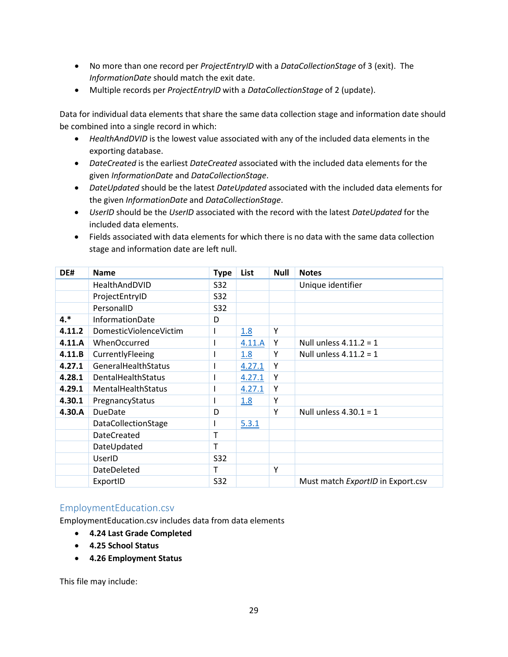- No more than one record per *ProjectEntryID* with a *DataCollectionStage* of 3 (exit). The *InformationDate* should match the exit date.
- Multiple records per *ProjectEntryID* with a *DataCollectionStage* of 2 (update).

Data for individual data elements that share the same data collection stage and information date should be combined into a single record in which:

- *HealthAndDVID* is the lowest value associated with any of the included data elements in the exporting database.
- *DateCreated* is the earliest *DateCreated* associated with the included data elements for the given *InformationDate* and *DataCollectionStage*.
- *DateUpdated* should be the latest *DateUpdated* associated with the included data elements for the given *InformationDate* and *DataCollectionStage*.
- *UserID* should be the *UserID* associated with the record with the latest *DateUpdated* for the included data elements.
- Fields associated with data elements for which there is no data with the same data collection stage and information date are left null.

| DE#    | <b>Name</b>                | <b>Type</b> | List   | <b>Null</b> | <b>Notes</b>                      |
|--------|----------------------------|-------------|--------|-------------|-----------------------------------|
|        | HealthAndDVID              | S32         |        |             | Unique identifier                 |
|        | ProjectEntryID             | S32         |        |             |                                   |
|        | PersonalID                 | <b>S32</b>  |        |             |                                   |
| $4.*$  | <b>InformationDate</b>     | D           |        |             |                                   |
| 4.11.2 | DomesticViolenceVictim     |             | 1.8    | Y           |                                   |
| 4.11.A | WhenOccurred               |             | 4.11.A | Y           | Null unless $4.11.2 = 1$          |
| 4.11.B | CurrentlyFleeing           |             | 1.8    | Υ           | Null unless $4.11.2 = 1$          |
| 4.27.1 | GeneralHealthStatus        |             | 4.27.1 | Υ           |                                   |
| 4.28.1 | DentalHealthStatus         |             | 4.27.1 | Υ           |                                   |
| 4.29.1 | <b>MentalHealthStatus</b>  |             | 4.27.1 | Υ           |                                   |
| 4.30.1 | PregnancyStatus            |             | 1.8    | Υ           |                                   |
| 4.30.A | <b>DueDate</b>             | D           |        | Y           | Null unless $4.30.1 = 1$          |
|        | <b>DataCollectionStage</b> |             | 5.3.1  |             |                                   |
|        | <b>DateCreated</b>         | т           |        |             |                                   |
|        | DateUpdated                | т           |        |             |                                   |
|        | UserID                     | S32         |        |             |                                   |
|        | DateDeleted                | т           |        | Y           |                                   |
|        | ExportID                   | S32         |        |             | Must match ExportID in Export.csv |

#### <span id="page-29-0"></span>EmploymentEducation.csv

EmploymentEducation.csv includes data from data elements

- **4.24 Last Grade Completed**
- **4.25 School Status**
- **4.26 Employment Status**

This file may include: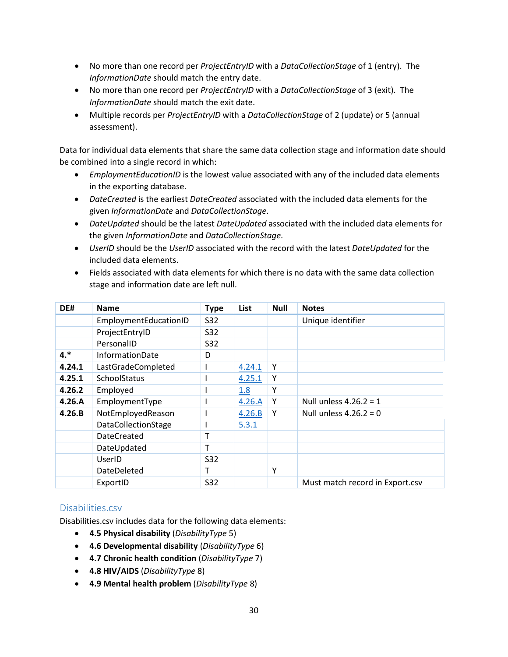- No more than one record per *ProjectEntryID* with a *DataCollectionStage* of 1 (entry). The *InformationDate* should match the entry date.
- No more than one record per *ProjectEntryID* with a *DataCollectionStage* of 3 (exit). The *InformationDate* should match the exit date.
- Multiple records per *ProjectEntryID* with a *DataCollectionStage* of 2 (update) or 5 (annual assessment).

Data for individual data elements that share the same data collection stage and information date should be combined into a single record in which:

- *EmploymentEducationID* is the lowest value associated with any of the included data elements in the exporting database.
- *DateCreated* is the earliest *DateCreated* associated with the included data elements for the given *InformationDate* and *DataCollectionStage*.
- *DateUpdated* should be the latest *DateUpdated* associated with the included data elements for the given *InformationDate* and *DataCollectionStage*.
- *UserID* should be the *UserID* associated with the record with the latest *DateUpdated* for the included data elements.
- Fields associated with data elements for which there is no data with the same data collection stage and information date are left null.

| DE#    | <b>Name</b>           | <b>Type</b> | List   | <b>Null</b> | <b>Notes</b>                    |
|--------|-----------------------|-------------|--------|-------------|---------------------------------|
|        | EmploymentEducationID | S32         |        |             | Unique identifier               |
|        | ProjectEntryID        | <b>S32</b>  |        |             |                                 |
|        | PersonalID            | <b>S32</b>  |        |             |                                 |
| $4.*$  | InformationDate       | D           |        |             |                                 |
| 4.24.1 | LastGradeCompleted    |             | 4.24.1 | Υ           |                                 |
| 4.25.1 | SchoolStatus          |             | 4.25.1 | Υ           |                                 |
| 4.26.2 | Employed              |             | 1.8    | Υ           |                                 |
| 4.26.A | EmploymentType        |             | 4.26.A | Y           | Null unless $4.26.2 = 1$        |
| 4.26.B | NotEmployedReason     |             | 4.26.B | Y           | Null unless $4.26.2 = 0$        |
|        | DataCollectionStage   |             | 5.3.1  |             |                                 |
|        | <b>DateCreated</b>    | т           |        |             |                                 |
|        | DateUpdated           | т           |        |             |                                 |
|        | UserID                | S32         |        |             |                                 |
|        | DateDeleted           | т           |        | Υ           |                                 |
|        | ExportID              | S32         |        |             | Must match record in Export.csv |

#### <span id="page-30-0"></span>Disabilities.csv

Disabilities.csv includes data for the following data elements:

- **4.5 Physical disability** (*DisabilityType* 5)
- **4.6 Developmental disability** (*DisabilityType* 6)
- **4.7 Chronic health condition** (*DisabilityType* 7)
- **4.8 HIV/AIDS** (*DisabilityType* 8)
- **4.9 Mental health problem** (*DisabilityType* 8)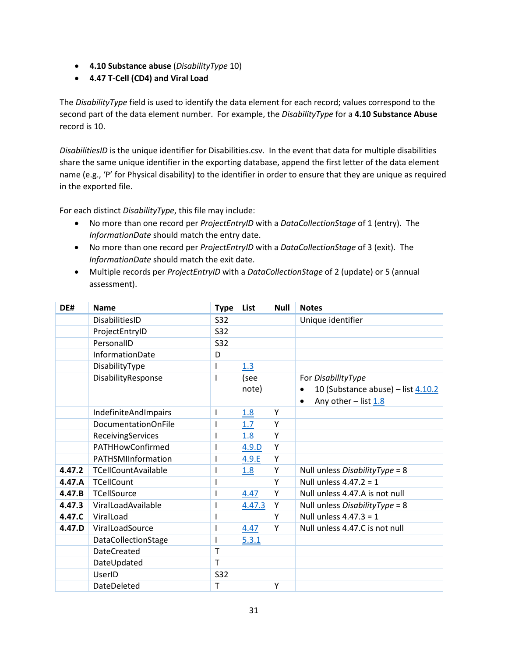- **4.10 Substance abuse** (*DisabilityType* 10)
- **4.47 T-Cell (CD4) and Viral Load**

The *DisabilityType* field is used to identify the data element for each record; values correspond to the second part of the data element number. For example, the *DisabilityType* for a **4.10 Substance Abuse** record is 10.

*DisabilitiesID* is the unique identifier for Disabilities.csv. In the event that data for multiple disabilities share the same unique identifier in the exporting database, append the first letter of the data element name (e.g., 'P' for Physical disability) to the identifier in order to ensure that they are unique as required in the exported file.

For each distinct *DisabilityType*, this file may include:

- No more than one record per *ProjectEntryID* with a *DataCollectionStage* of 1 (entry). The *InformationDate* should match the entry date.
- No more than one record per *ProjectEntryID* with a *DataCollectionStage* of 3 (exit). The *InformationDate* should match the exit date.
- Multiple records per *ProjectEntryID* with a *DataCollectionStage* of 2 (update) or 5 (annual assessment).

| DE#    | <b>Name</b>          | <b>Type</b> | List   | <b>Null</b> | <b>Notes</b>                                    |
|--------|----------------------|-------------|--------|-------------|-------------------------------------------------|
|        | DisabilitiesID       | <b>S32</b>  |        |             | Unique identifier                               |
|        | ProjectEntryID       | <b>S32</b>  |        |             |                                                 |
|        | PersonalID           | S32         |        |             |                                                 |
|        | InformationDate      | D           |        |             |                                                 |
|        | DisabilityType       | ı           | 1.3    |             |                                                 |
|        | DisabilityResponse   |             | (see   |             | For DisabilityType                              |
|        |                      |             | note)  |             | 10 (Substance abuse) - list 4.10.2<br>$\bullet$ |
|        |                      |             |        |             | Any other $-$ list $1.8$<br>$\bullet$           |
|        | IndefiniteAndImpairs | I           | 1.8    | Y           |                                                 |
|        | DocumentationOnFile  |             | 1.7    | Y           |                                                 |
|        | ReceivingServices    |             | 1.8    | Y           |                                                 |
|        | PATHHowConfirmed     |             | 4.9.D  | Y           |                                                 |
|        | PATHSMIInformation   |             | 4.9.E  | Y           |                                                 |
| 4.47.2 | TCellCountAvailable  |             | 1.8    | Y           | Null unless DisabilityType = 8                  |
| 4.47.A | <b>TCellCount</b>    |             |        | Y           | Null unless $4.47.2 = 1$                        |
| 4.47.B | <b>TCellSource</b>   |             | 4.47   | Y           | Null unless 4.47.A is not null                  |
| 4.47.3 | ViralLoadAvailable   |             | 4.47.3 | Y           | Null unless DisabilityType = 8                  |
| 4.47.C | ViralLoad            |             |        | Y           | Null unless $4.47.3 = 1$                        |
| 4.47.D | ViralLoadSource      |             | 4.47   | Y           | Null unless 4.47.C is not null                  |
|        | DataCollectionStage  |             | 5.3.1  |             |                                                 |
|        | <b>DateCreated</b>   | Т           |        |             |                                                 |
|        | DateUpdated          | т           |        |             |                                                 |
|        | UserID               | S32         |        |             |                                                 |
|        | DateDeleted          | т           |        | Y           |                                                 |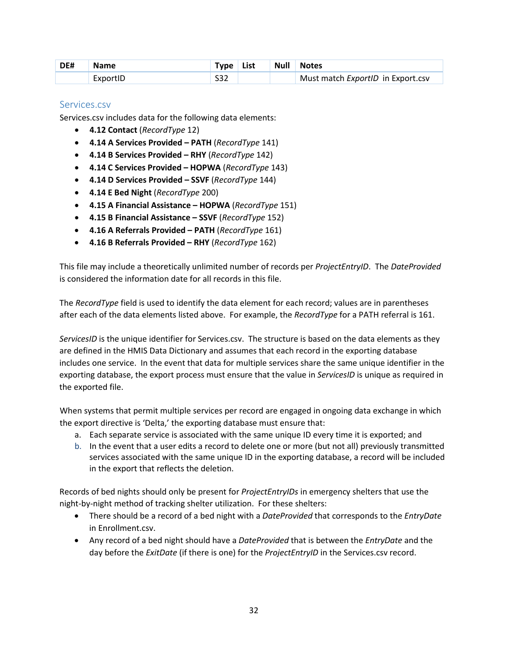| DE# | <b>Name</b> | Type List |  | Null Notes                        |
|-----|-------------|-----------|--|-----------------------------------|
|     | ExportID    | S32       |  | Must match ExportID in Export.csv |

#### <span id="page-32-0"></span>Services.csv

Services.csv includes data for the following data elements:

- **4.12 Contact** (*RecordType* 12)
- **4.14 A Services Provided PATH** (*RecordType* 141)
- **4.14 B Services Provided RHY** (*RecordType* 142)
- **4.14 C Services Provided HOPWA** (*RecordType* 143)
- **4.14 D Services Provided SSVF** (*RecordType* 144)
- **4.14 E Bed Night** (*RecordType* 200)
- **4.15 A Financial Assistance HOPWA** (*RecordType* 151)
- **4.15 B Financial Assistance SSVF** (*RecordType* 152)
- **4.16 A Referrals Provided PATH** (*RecordType* 161)
- **4.16 B Referrals Provided RHY** (*RecordType* 162)

This file may include a theoretically unlimited number of records per *ProjectEntryID*. The *DateProvided* is considered the information date for all records in this file.

The *RecordType* field is used to identify the data element for each record; values are in parentheses after each of the data elements listed above. For example, the *RecordType* for a PATH referral is 161.

*ServicesID* is the unique identifier for Services.csv. The structure is based on the data elements as they are defined in the HMIS Data Dictionary and assumes that each record in the exporting database includes one service. In the event that data for multiple services share the same unique identifier in the exporting database, the export process must ensure that the value in *ServicesID* is unique as required in the exported file.

When systems that permit multiple services per record are engaged in ongoing data exchange in which the export directive is 'Delta,' the exporting database must ensure that:

- a. Each separate service is associated with the same unique ID every time it is exported; and
- b. In the event that a user edits a record to delete one or more (but not all) previously transmitted services associated with the same unique ID in the exporting database, a record will be included in the export that reflects the deletion.

Records of bed nights should only be present for *ProjectEntryIDs* in emergency shelters that use the night-by-night method of tracking shelter utilization. For these shelters:

- There should be a record of a bed night with a *DateProvided* that corresponds to the *EntryDate* in Enrollment.csv.
- Any record of a bed night should have a *DateProvided* that is between the *EntryDate* and the day before the *ExitDate* (if there is one) for the *ProjectEntryID* in the Services.csv record.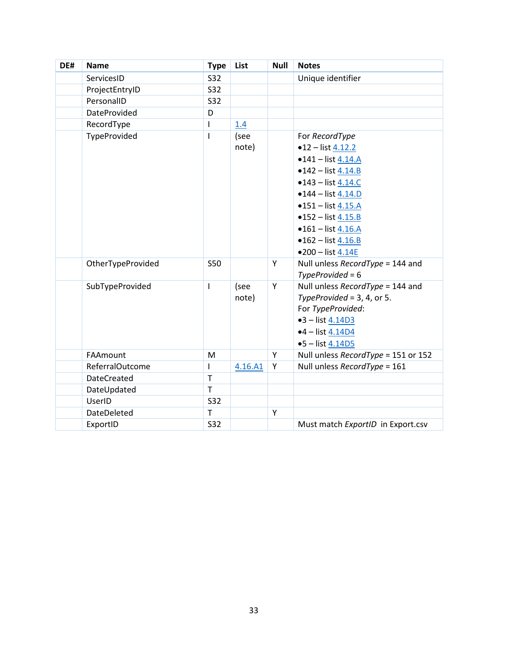<span id="page-33-0"></span>

| DE# | <b>Name</b>         | <b>Type</b>  | List    | <b>Null</b> | <b>Notes</b>                        |
|-----|---------------------|--------------|---------|-------------|-------------------------------------|
|     | ServicesID          | <b>S32</b>   |         |             | Unique identifier                   |
|     | ProjectEntryID      | S32          |         |             |                                     |
|     | PersonalID          | <b>S32</b>   |         |             |                                     |
|     | <b>DateProvided</b> | D            |         |             |                                     |
|     | RecordType          | $\mathbf{I}$ | 1.4     |             |                                     |
|     | TypeProvided        | $\mathbf{I}$ | (see    |             | For RecordType                      |
|     |                     |              | note)   |             | $•12 - list 4.12.2$                 |
|     |                     |              |         |             | $•141 - list 4.14.A$                |
|     |                     |              |         |             | $•142 - list 4.14.B$                |
|     |                     |              |         |             | $•143 - list 4.14.C$                |
|     |                     |              |         |             | $•144 - list 4.14.D$                |
|     |                     |              |         |             | $•151 - list 4.15.A$                |
|     |                     |              |         |             | $•152 - list 4.15.B$                |
|     |                     |              |         |             | $•161 - list 4.16.A$                |
|     |                     |              |         |             | $•162 - list 4.16.B$                |
|     |                     |              |         |             | $•200 - list 4.14E$                 |
|     | OtherTypeProvided   | <b>S50</b>   |         | Υ           | Null unless RecordType = 144 and    |
|     |                     |              |         |             | $TypeProvided = 6$                  |
|     | SubTypeProvided     | T            | (see    | Υ           | Null unless RecordType = 144 and    |
|     |                     |              | note)   |             | TypeProvided = $3, 4$ , or $5.$     |
|     |                     |              |         |             | For TypeProvided:                   |
|     |                     |              |         |             | $•3 - list 4.14D3$                  |
|     |                     |              |         |             | $•4 - list 4.14D4$                  |
|     |                     |              |         |             | $•5 - list 4.14D5$                  |
|     | FAAmount            | M            |         | Υ           | Null unless RecordType = 151 or 152 |
|     | ReferralOutcome     | $\mathsf{I}$ | 4.16.A1 | Υ           | Null unless RecordType = 161        |
|     | <b>DateCreated</b>  | $\mathsf{T}$ |         |             |                                     |
|     | DateUpdated         | $\mathsf{T}$ |         |             |                                     |
|     | UserID              | <b>S32</b>   |         |             |                                     |
|     | DateDeleted         | Τ            |         | Υ           |                                     |
|     | ExportID            | <b>S32</b>   |         |             | Must match ExportID in Export.csv   |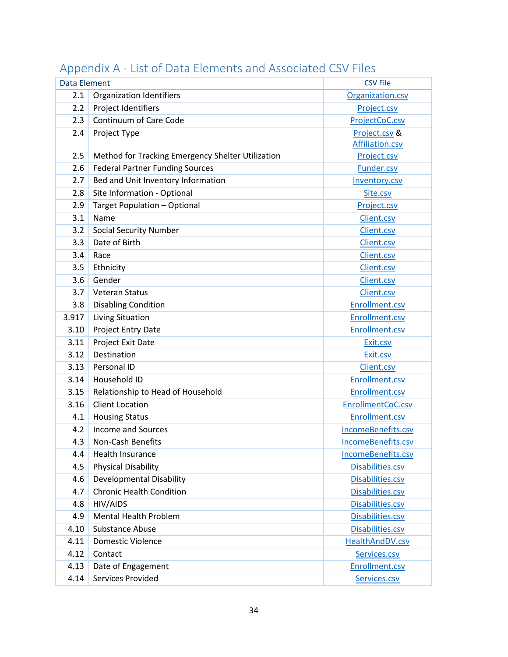| <b>Data Element</b> |                                                   | <b>CSV File</b>    |
|---------------------|---------------------------------------------------|--------------------|
| 2.1                 | <b>Organization Identifiers</b>                   | Organization.csv   |
| 2.2                 | Project Identifiers                               | Project.csv        |
| 2.3                 | Continuum of Care Code                            | ProjectCoC.csv     |
| 2.4                 | Project Type                                      | Project.csv &      |
|                     |                                                   | Affiliation.csv    |
| 2.5                 | Method for Tracking Emergency Shelter Utilization | Project.csv        |
| 2.6                 | <b>Federal Partner Funding Sources</b>            | Funder.csv         |
| 2.7                 | Bed and Unit Inventory Information                | Inventory.csv      |
| 2.8                 | Site Information - Optional                       | Site.csv           |
| 2.9                 | Target Population - Optional                      | Project.csv        |
| 3.1                 | Name                                              | Client.csv         |
| 3.2                 | <b>Social Security Number</b>                     | Client.csv         |
| 3.3                 | Date of Birth                                     | Client.csv         |
| 3.4                 | Race                                              | Client.csv         |
| 3.5                 | Ethnicity                                         | Client.csv         |
| 3.6                 | Gender                                            | Client.csv         |
| 3.7                 | <b>Veteran Status</b>                             | Client.csv         |
| 3.8                 | <b>Disabling Condition</b>                        | Enrollment.csv     |
| 3.917               | Living Situation                                  | Enrollment.csv     |
| 3.10                | Project Entry Date                                | Enrollment.csv     |
| 3.11                | Project Exit Date                                 | Exit.csv           |
| 3.12                | Destination                                       | Exit.csv           |
| 3.13                | Personal ID                                       | Client.csv         |
| 3.14                | Household ID                                      | Enrollment.csv     |
| 3.15                | Relationship to Head of Household                 | Enrollment.csv     |
| 3.16                | <b>Client Location</b>                            | EnrollmentCoC.csv  |
| 4.1                 | <b>Housing Status</b>                             | Enrollment.csv     |
| 4.2                 | Income and Sources                                | IncomeBenefits.csv |
| 4.3                 | <b>Non-Cash Benefits</b>                          | IncomeBenefits.csv |
| 4.4                 | <b>Health Insurance</b>                           | IncomeBenefits.csv |
| 4.5                 | <b>Physical Disability</b>                        | Disabilities.csv   |
| 4.6                 | <b>Developmental Disability</b>                   | Disabilities.csv   |
| 4.7                 | <b>Chronic Health Condition</b>                   | Disabilities.csv   |
| 4.8                 | HIV/AIDS                                          | Disabilities.csv   |
| 4.9                 | <b>Mental Health Problem</b>                      | Disabilities.csv   |
| 4.10                | <b>Substance Abuse</b>                            | Disabilities.csv   |
| 4.11                | Domestic Violence                                 | HealthAndDV.csv    |
| 4.12                | Contact                                           | Services.csv       |
| 4.13                | Date of Engagement                                | Enrollment.csv     |
| 4.14                | Services Provided                                 | Services.csv       |

# <span id="page-34-0"></span>Appendix A - List of Data Elements and Associated CSV Files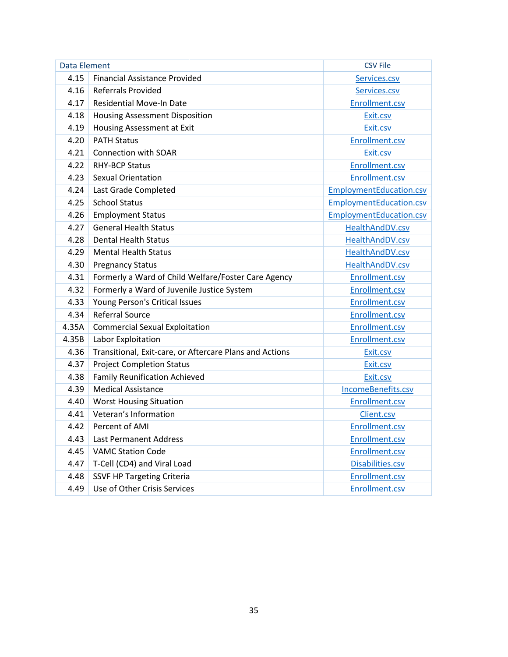| Data Element |                                                         | <b>CSV File</b>                |
|--------------|---------------------------------------------------------|--------------------------------|
| 4.15         | <b>Financial Assistance Provided</b>                    | Services.csv                   |
| 4.16         | <b>Referrals Provided</b>                               | Services.csv                   |
| 4.17         | <b>Residential Move-In Date</b>                         | Enrollment.csv                 |
| 4.18         | <b>Housing Assessment Disposition</b>                   | Exit.csv                       |
| 4.19         | Housing Assessment at Exit                              | Exit.csv                       |
| 4.20         | <b>PATH Status</b>                                      | Enrollment.csv                 |
| 4.21         | Connection with SOAR                                    | Exit.csv                       |
| 4.22         | <b>RHY-BCP Status</b>                                   | Enrollment.csv                 |
| 4.23         | <b>Sexual Orientation</b>                               | Enrollment.csv                 |
| 4.24         | Last Grade Completed                                    | <b>EmploymentEducation.csv</b> |
| 4.25         | <b>School Status</b>                                    | <b>EmploymentEducation.csv</b> |
| 4.26         | <b>Employment Status</b>                                | EmploymentEducation.csv        |
| 4.27         | <b>General Health Status</b>                            | HealthAndDV.csv                |
| 4.28         | <b>Dental Health Status</b>                             | HealthAndDV.csv                |
| 4.29         | <b>Mental Health Status</b>                             | HealthAndDV.csv                |
| 4.30         | <b>Pregnancy Status</b>                                 | HealthAndDV.csv                |
| 4.31         | Formerly a Ward of Child Welfare/Foster Care Agency     | Enrollment.csv                 |
| 4.32         | Formerly a Ward of Juvenile Justice System              | Enrollment.csv                 |
| 4.33         | Young Person's Critical Issues                          | Enrollment.csv                 |
| 4.34         | <b>Referral Source</b>                                  | Enrollment.csv                 |
| 4.35A        | <b>Commercial Sexual Exploitation</b>                   | Enrollment.csv                 |
| 4.35B        | Labor Exploitation                                      | Enrollment.csv                 |
| 4.36         | Transitional, Exit-care, or Aftercare Plans and Actions | Exit.csv                       |
| 4.37         | <b>Project Completion Status</b>                        | Exit.csv                       |
| 4.38         | <b>Family Reunification Achieved</b>                    | Exit.csv                       |
| 4.39         | <b>Medical Assistance</b>                               | IncomeBenefits.csv             |
| 4.40         | <b>Worst Housing Situation</b>                          | Enrollment.csv                 |
| 4.41         | Veteran's Information                                   | Client.csv                     |
| 4.42         | Percent of AMI                                          | Enrollment.csv                 |
| 4.43         | <b>Last Permanent Address</b>                           | Enrollment.csv                 |
| 4.45         | <b>VAMC Station Code</b>                                | Enrollment.csv                 |
| 4.47         | T-Cell (CD4) and Viral Load                             | Disabilities.csv               |
| 4.48         | <b>SSVF HP Targeting Criteria</b>                       | Enrollment.csv                 |
| 4.49         | Use of Other Crisis Services                            | Enrollment.csv                 |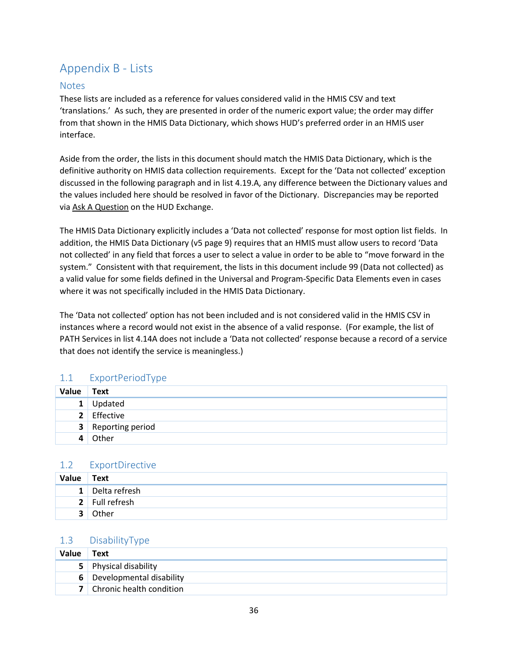# <span id="page-36-0"></span>Appendix B - Lists

### <span id="page-36-1"></span>**Notes**

These lists are included as a reference for values considered valid in the HMIS CSV and text 'translations.' As such, they are presented in order of the numeric export value; the order may differ from that shown in the HMIS Data Dictionary, which shows HUD's preferred order in an HMIS user interface.

Aside from the order, the lists in this document should match the HMIS Data Dictionary, which is the definitive authority on HMIS data collection requirements. Except for the 'Data not collected' exception discussed in the following paragraph and in list 4.19.A, any difference between the Dictionary values and the values included here should be resolved in favor of the Dictionary. Discrepancies may be reported via [Ask A Question](https://www.hudexchange.info/get-assistance/my-question/) on the HUD Exchange.

The HMIS Data Dictionary explicitly includes a 'Data not collected' response for most option list fields. In addition, the HMIS Data Dictionary (v5 page 9) requires that an HMIS must allow users to record 'Data not collected' in any field that forces a user to select a value in order to be able to "move forward in the system." Consistent with that requirement, the lists in this document include 99 (Data not collected) as a valid value for some fields defined in the Universal and Program-Specific Data Elements even in cases where it was not specifically included in the HMIS Data Dictionary.

The 'Data not collected' option has not been included and is not considered valid in the HMIS CSV in instances where a record would not exist in the absence of a valid response. (For example, the list of PATH Services in list 4.14A does not include a 'Data not collected' response because a record of a service that does not identify the service is meaningless.)

### <span id="page-36-2"></span>1.1 ExportPeriodType

| Value | Text                      |
|-------|---------------------------|
|       | 1 Updated                 |
|       | 2 Effective               |
|       | <b>3</b> Reporting period |
| 4     | Other                     |

#### <span id="page-36-3"></span>1.2 ExportDirective

| Value          | Text            |
|----------------|-----------------|
|                | 1 Delta refresh |
|                | 2 Full refresh  |
| 3 <sup>1</sup> | Other           |

### <span id="page-36-4"></span>1.3 DisabilityType

| Value | Text                       |
|-------|----------------------------|
|       | 5 Physical disability      |
|       | 6 Developmental disability |
|       | 7 Chronic health condition |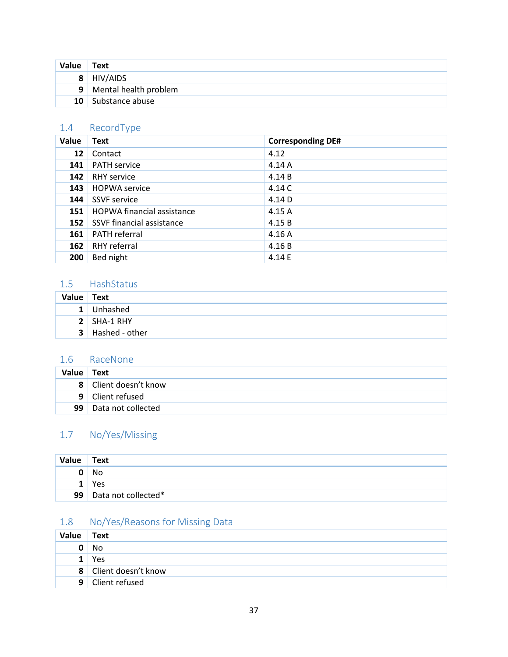| Value Text      |                         |
|-----------------|-------------------------|
|                 | 8 HIV/AIDS              |
|                 | 9 Mental health problem |
| 10 <sup>1</sup> | Substance abuse         |

### <span id="page-37-0"></span>1.4 RecordType

| Value | <b>Text</b>                       | <b>Corresponding DE#</b> |
|-------|-----------------------------------|--------------------------|
| 12    | Contact                           | 4.12                     |
| 141   | <b>PATH service</b>               | 4.14A                    |
| 142   | <b>RHY service</b>                | 4.14B                    |
| 143   | <b>HOPWA</b> service              | 4.14 C                   |
| 144   | <b>SSVF</b> service               | 4.14 D                   |
| 151   | <b>HOPWA financial assistance</b> | 4.15 A                   |
| 152   | SSVF financial assistance         | 4.15B                    |
| 161   | <b>PATH</b> referral              | 4.16A                    |
| 162   | <b>RHY</b> referral               | 4.16B                    |
| 200   | Bed night                         | 4.14 E                   |

### <span id="page-37-1"></span>1.5 HashStatus

| Value Text |                         |
|------------|-------------------------|
|            | 1 Unhashed              |
|            | 2 SHA-1 RHY             |
|            | <b>3</b> Hashed - other |

### <span id="page-37-2"></span>1.6 RaceNone

| Value Text |                         |
|------------|-------------------------|
|            | 8 Client doesn't know   |
|            | 9 Client refused        |
|            | 99   Data not collected |

# <span id="page-37-3"></span>1.7 No/Yes/Missing

| Value | Text                     |
|-------|--------------------------|
| 0     | No                       |
|       | Yes                      |
|       | 99   Data not collected* |

# <span id="page-37-4"></span>1.8 No/Yes/Reasons for Missing Data

| Value          | Text                |
|----------------|---------------------|
|                | No                  |
|                | Yes                 |
| 8 <sup>1</sup> | Client doesn't know |
| 9              | Client refused      |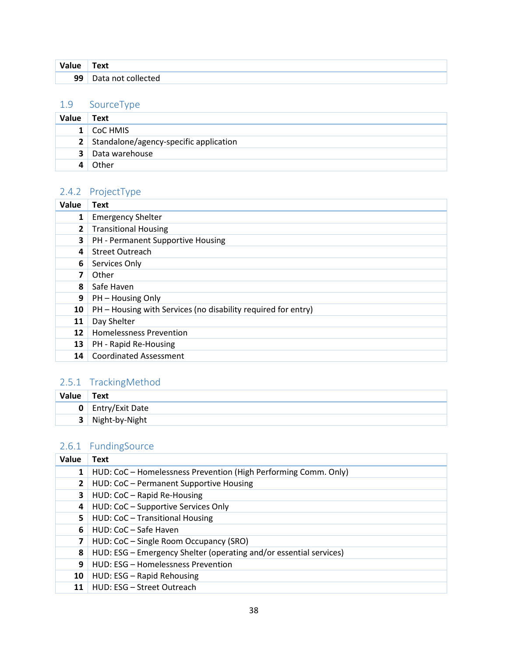| Value | Text               |
|-------|--------------------|
| 99    | Data not collected |

#### <span id="page-38-0"></span>1.9 SourceType

| <b>Value</b> | Text                                     |
|--------------|------------------------------------------|
|              | 1 CoC HMIS                               |
|              | 2 Standalone/agency-specific application |
|              | <b>3</b> Data warehouse                  |
|              | Other                                    |

# <span id="page-38-1"></span>2.4.2 ProjectType

| Value        | <b>Text</b>                                                   |
|--------------|---------------------------------------------------------------|
| 1            | <b>Emergency Shelter</b>                                      |
| $\mathbf{2}$ | <b>Transitional Housing</b>                                   |
| 3            | PH - Permanent Supportive Housing                             |
| 4            | <b>Street Outreach</b>                                        |
| 6            | Services Only                                                 |
| 7            | Other                                                         |
| 8            | Safe Haven                                                    |
| 9            | PH - Housing Only                                             |
| 10           | PH - Housing with Services (no disability required for entry) |
| 11           | Day Shelter                                                   |
| 12           | <b>Homelessness Prevention</b>                                |
| 13           | PH - Rapid Re-Housing                                         |
| 14           | <b>Coordinated Assessment</b>                                 |

# <span id="page-38-2"></span>2.5.1 TrackingMethod

| Value | Text                     |
|-------|--------------------------|
|       | <b>0</b> Entry/Exit Date |
| 3     | Night-by-Night           |

# <span id="page-38-3"></span>2.6.1 FundingSource

| Value        | Text                                                               |
|--------------|--------------------------------------------------------------------|
|              | HUD: CoC - Homelessness Prevention (High Performing Comm. Only)    |
| $\mathbf{2}$ | HUD: CoC - Permanent Supportive Housing                            |
| 3            | HUD: CoC - Rapid Re-Housing                                        |
| 4            | HUD: CoC - Supportive Services Only                                |
| 5.           | HUD: CoC - Transitional Housing                                    |
| 6            | HUD: CoC - Safe Haven                                              |
| 7            | HUD: CoC - Single Room Occupancy (SRO)                             |
| 8            | HUD: ESG – Emergency Shelter (operating and/or essential services) |
| 9            | HUD: ESG - Homelessness Prevention                                 |
| 10           | HUD: ESG - Rapid Rehousing                                         |
| 11           | HUD: ESG - Street Outreach                                         |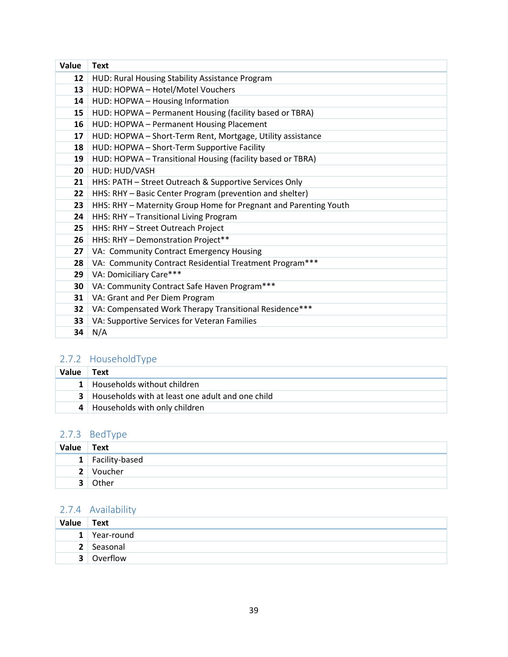| Value | <b>Text</b>                                                      |
|-------|------------------------------------------------------------------|
| 12    | HUD: Rural Housing Stability Assistance Program                  |
| 13    | HUD: HOPWA - Hotel/Motel Vouchers                                |
| 14    | HUD: HOPWA - Housing Information                                 |
| 15    | HUD: HOPWA - Permanent Housing (facility based or TBRA)          |
| 16    | HUD: HOPWA - Permanent Housing Placement                         |
| 17    | HUD: HOPWA - Short-Term Rent, Mortgage, Utility assistance       |
| 18    | HUD: HOPWA - Short-Term Supportive Facility                      |
| 19    | HUD: HOPWA - Transitional Housing (facility based or TBRA)       |
| 20    | HUD: HUD/VASH                                                    |
| 21    | HHS: PATH - Street Outreach & Supportive Services Only           |
| 22    | HHS: RHY - Basic Center Program (prevention and shelter)         |
| 23    | HHS: RHY - Maternity Group Home for Pregnant and Parenting Youth |
| 24    | HHS: RHY - Transitional Living Program                           |
| 25    | HHS: RHY - Street Outreach Project                               |
| 26    | HHS: RHY - Demonstration Project**                               |
| 27    | VA: Community Contract Emergency Housing                         |
| 28    | VA: Community Contract Residential Treatment Program***          |
| 29    | VA: Domiciliary Care***                                          |
| 30    | VA: Community Contract Safe Haven Program***                     |
| 31    | VA: Grant and Per Diem Program                                   |
| 32    | VA: Compensated Work Therapy Transitional Residence***           |
| 33    | VA: Supportive Services for Veteran Families                     |
| 34    | N/A                                                              |

# <span id="page-39-0"></span>2.7.2 HouseholdType

| Value | Text                                                 |
|-------|------------------------------------------------------|
|       | 1 Households without children                        |
|       | 3   Households with at least one adult and one child |
|       | 4 Households with only children                      |

### <span id="page-39-1"></span>2.7.3 BedType

| Value          | $\overline{\phantom{a}}$ Text |
|----------------|-------------------------------|
|                | 1 Facility-based              |
| 2 <sup>1</sup> | Voucher                       |
| $\mathbf{r}$   | Other                         |

# <span id="page-39-2"></span>2.7.4 Availability

| Value Text  |            |
|-------------|------------|
| 1           | Year-round |
| $2^{\circ}$ | Seasonal   |
| ર           | Overflow   |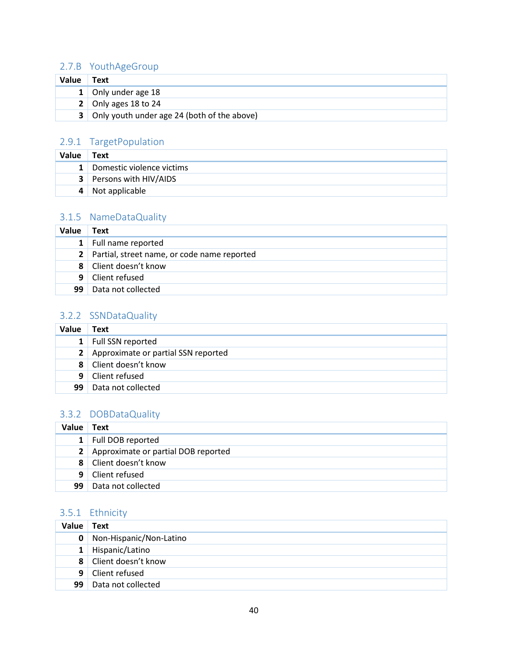### <span id="page-40-0"></span>2.7.B YouthAgeGroup

| Value | Text                                          |
|-------|-----------------------------------------------|
|       | 1 Only under age 18                           |
|       | 2 Only ages 18 to 24                          |
|       | 3 Only youth under age 24 (both of the above) |

### <span id="page-40-1"></span>2.9.1 TargetPopulation

| Value | Text                           |
|-------|--------------------------------|
|       | 1 Domestic violence victims    |
|       | <b>3</b> Persons with HIV/AIDS |
|       | 4 Not applicable               |

### <span id="page-40-2"></span>3.1.5 NameDataQuality

| Value          | Text                                          |
|----------------|-----------------------------------------------|
|                | 1 Full name reported                          |
|                | 2 Partial, street name, or code name reported |
|                | 8 Client doesn't know                         |
| 9 <sup>1</sup> | Client refused                                |
| 99             | Data not collected                            |

#### <span id="page-40-3"></span>3.2.2 SSNDataQuality

| Value        | Text                                  |
|--------------|---------------------------------------|
|              | 1 Full SSN reported                   |
|              | 2 Approximate or partial SSN reported |
| $\mathbf{R}$ | Client doesn't know                   |
| 9            | Client refused                        |
| 99           | Data not collected                    |

### <span id="page-40-4"></span>3.3.2 DOBDataQuality

| <b>Value</b> | Text                                  |
|--------------|---------------------------------------|
|              | 1 Full DOB reported                   |
|              | 2 Approximate or partial DOB reported |
|              | 8 Client doesn't know                 |
|              | 9 Client refused                      |
| 99           | Data not collected                    |

### <span id="page-40-5"></span>3.5.1 Ethnicity

| Value        | <b>Text</b>             |
|--------------|-------------------------|
| $\mathbf{0}$ | Non-Hispanic/Non-Latino |
|              | 1 Hispanic/Latino       |
|              | 8 Client doesn't know   |
|              | 9 Client refused        |
| 99           | Data not collected      |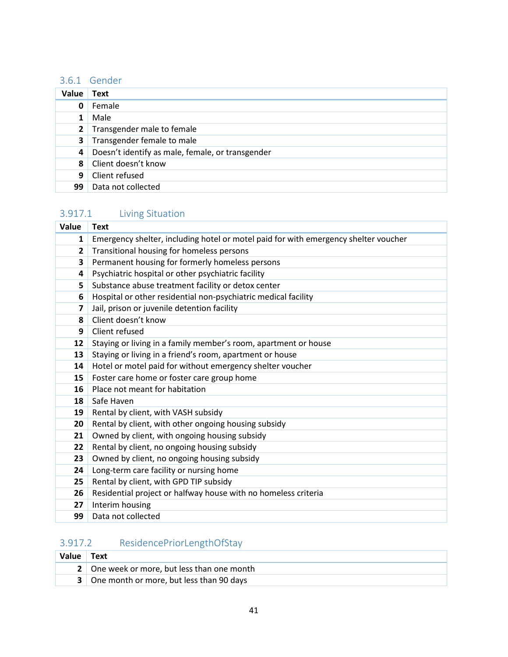# <span id="page-41-0"></span>3.6.1 Gender

| Value          | Text                                             |
|----------------|--------------------------------------------------|
| 0              | Female                                           |
|                | Male                                             |
| 2 <sup>1</sup> | Transgender male to female                       |
| 3              | Transgender female to male                       |
| 4              | Doesn't identify as male, female, or transgender |
| 8              | Client doesn't know                              |
| 9              | Client refused                                   |
| 99             | Data not collected                               |

# <span id="page-41-1"></span>3.917.1 Living Situation

| Value                   | <b>Text</b>                                                                         |
|-------------------------|-------------------------------------------------------------------------------------|
| $\mathbf{1}$            | Emergency shelter, including hotel or motel paid for with emergency shelter voucher |
| $\overline{2}$          | Transitional housing for homeless persons                                           |
| 3                       | Permanent housing for formerly homeless persons                                     |
| 4                       | Psychiatric hospital or other psychiatric facility                                  |
| 5                       | Substance abuse treatment facility or detox center                                  |
| 6                       | Hospital or other residential non-psychiatric medical facility                      |
| $\overline{\mathbf{z}}$ | Jail, prison or juvenile detention facility                                         |
| 8                       | Client doesn't know                                                                 |
| 9                       | Client refused                                                                      |
| 12                      | Staying or living in a family member's room, apartment or house                     |
| 13                      | Staying or living in a friend's room, apartment or house                            |
| 14                      | Hotel or motel paid for without emergency shelter voucher                           |
| 15                      | Foster care home or foster care group home                                          |
| 16                      | Place not meant for habitation                                                      |
| 18                      | Safe Haven                                                                          |
| 19                      | Rental by client, with VASH subsidy                                                 |
| 20                      | Rental by client, with other ongoing housing subsidy                                |
| 21                      | Owned by client, with ongoing housing subsidy                                       |
| 22                      | Rental by client, no ongoing housing subsidy                                        |
| 23                      | Owned by client, no ongoing housing subsidy                                         |
| 24                      | Long-term care facility or nursing home                                             |
| 25                      | Rental by client, with GPD TIP subsidy                                              |
| 26                      | Residential project or halfway house with no homeless criteria                      |
| 27                      | Interim housing                                                                     |
| 99                      | Data not collected                                                                  |

# <span id="page-41-2"></span>3.917.2 ResidencePriorLengthOfStay

| Value | <b>Text</b>                                       |
|-------|---------------------------------------------------|
|       | 2 One week or more, but less than one month       |
|       | <b>3</b> One month or more, but less than 90 days |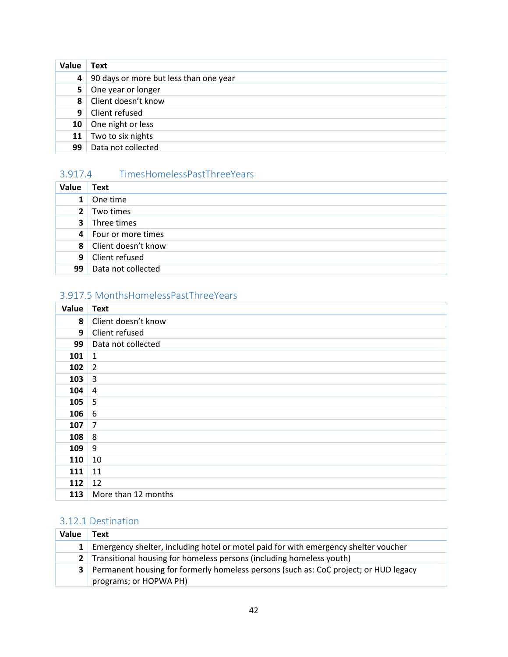| Value          | <b>Text</b>                            |
|----------------|----------------------------------------|
| 4              | 90 days or more but less than one year |
|                | 5 One year or longer                   |
|                | 8 Client doesn't know                  |
| 9 <sup>1</sup> | <b>Client refused</b>                  |
|                | 10 One night or less                   |
| 11             | Two to six nights                      |
| 99             | Data not collected                     |

### <span id="page-42-0"></span>3.917.4 TimesHomelessPastThreeYears

| Value          | <b>Text</b>           |
|----------------|-----------------------|
| $\mathbf{1}$   | One time              |
| 2 <sup>1</sup> | Two times             |
| 3 <sup>1</sup> | Three times           |
|                | 4 Four or more times  |
|                | 8 Client doesn't know |
|                | 9 Client refused      |
| 99             | Data not collected    |

### <span id="page-42-1"></span>3.917.5 MonthsHomelessPastThreeYears

| Value | <b>Text</b>         |
|-------|---------------------|
| 8     | Client doesn't know |
| 9     | Client refused      |
| 99    | Data not collected  |
| 101   | 1                   |
| 102   | $\overline{2}$      |
| 103   | $\overline{3}$      |
| 104   | $\overline{4}$      |
| 105   | 5                   |
| 106   | 6                   |
| 107   | $\overline{7}$      |
| 108   | 8                   |
| 109   | 9                   |
| 110   | 10                  |
| 111   | 11                  |
| 112   | 12                  |
| 113   | More than 12 months |

### <span id="page-42-2"></span>3.12.1 Destination

| Value | Text                                                                                                             |
|-------|------------------------------------------------------------------------------------------------------------------|
|       | 1 Emergency shelter, including hotel or motel paid for with emergency shelter voucher                            |
|       | 2 Transitional housing for homeless persons (including homeless youth)                                           |
|       | 3 Permanent housing for formerly homeless persons (such as: CoC project; or HUD legacy<br>programs; or HOPWA PH) |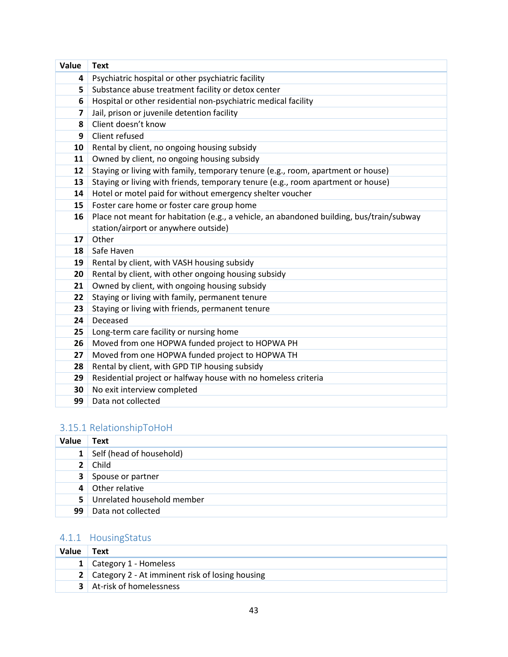| Value                   | <b>Text</b>                                                                              |
|-------------------------|------------------------------------------------------------------------------------------|
| 4                       | Psychiatric hospital or other psychiatric facility                                       |
| 5                       | Substance abuse treatment facility or detox center                                       |
| 6                       | Hospital or other residential non-psychiatric medical facility                           |
| $\overline{\mathbf{z}}$ | Jail, prison or juvenile detention facility                                              |
| 8                       | Client doesn't know                                                                      |
| 9                       | Client refused                                                                           |
| 10                      | Rental by client, no ongoing housing subsidy                                             |
| 11                      | Owned by client, no ongoing housing subsidy                                              |
| 12                      | Staying or living with family, temporary tenure (e.g., room, apartment or house)         |
| 13                      | Staying or living with friends, temporary tenure (e.g., room apartment or house)         |
| 14                      | Hotel or motel paid for without emergency shelter voucher                                |
| 15                      | Foster care home or foster care group home                                               |
| 16                      | Place not meant for habitation (e.g., a vehicle, an abandoned building, bus/train/subway |
|                         | station/airport or anywhere outside)                                                     |
| 17                      | Other                                                                                    |
| 18                      | Safe Haven                                                                               |
| 19                      | Rental by client, with VASH housing subsidy                                              |
| 20                      | Rental by client, with other ongoing housing subsidy                                     |
| 21                      | Owned by client, with ongoing housing subsidy                                            |
| 22                      | Staying or living with family, permanent tenure                                          |
| 23                      | Staying or living with friends, permanent tenure                                         |
| 24                      | Deceased                                                                                 |
| 25                      | Long-term care facility or nursing home                                                  |
| 26                      | Moved from one HOPWA funded project to HOPWA PH                                          |
| 27                      | Moved from one HOPWA funded project to HOPWA TH                                          |
| 28                      | Rental by client, with GPD TIP housing subsidy                                           |
| 29                      | Residential project or halfway house with no homeless criteria                           |
| 30                      | No exit interview completed                                                              |
| 99                      | Data not collected                                                                       |

# <span id="page-43-0"></span>3.15.1 RelationshipToHoH

| <b>Value</b>   | Text                       |
|----------------|----------------------------|
|                | 1 Self (head of household) |
|                | $2$ Child                  |
| 3 <sup>1</sup> | Spouse or partner          |
|                | 4 Other relative           |
| 5 <sub>1</sub> | Unrelated household member |
| 99             | Data not collected         |

# <span id="page-43-1"></span>4.1.1 HousingStatus

| <b>Value</b> | Text                                                |
|--------------|-----------------------------------------------------|
|              | <b>1</b> Category 1 - Homeless                      |
|              | 2   Category 2 - At imminent risk of losing housing |
|              | <b>3</b> At-risk of homelessness                    |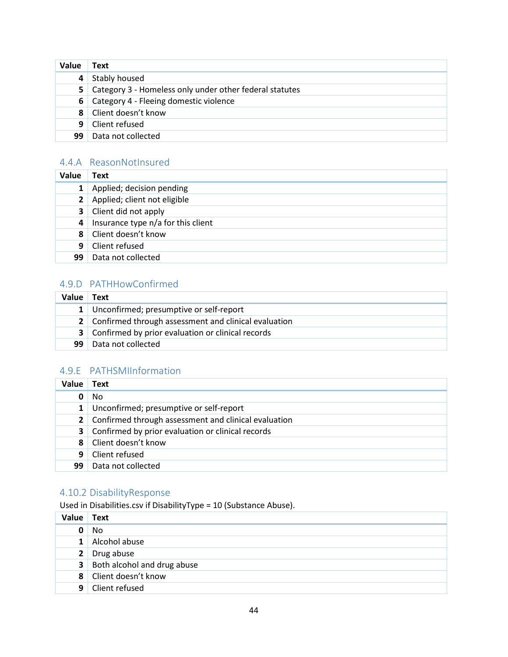| Value | Text                                                    |
|-------|---------------------------------------------------------|
| 4     | Stably housed                                           |
| 5     | Category 3 - Homeless only under other federal statutes |
| 61    | Category 4 - Fleeing domestic violence                  |
| 8     | Client doesn't know                                     |
| -9    | Client refused                                          |
| 99    | Data not collected                                      |

### <span id="page-44-0"></span>4.4.A ReasonNotInsured

| Value        | Text                               |
|--------------|------------------------------------|
| $\mathbf{1}$ | Applied; decision pending          |
|              | Applied; client not eligible       |
|              | <b>3</b> Client did not apply      |
| 4            | Insurance type n/a for this client |
| 8            | Client doesn't know                |
| 9.           | Client refused                     |
| 99           | Data not collected                 |

### <span id="page-44-1"></span>4.9.D PATHHowConfirmed

| Value | Text                                                   |
|-------|--------------------------------------------------------|
|       | 1 Unconfirmed; presumptive or self-report              |
|       | 2 Confirmed through assessment and clinical evaluation |
|       | 3   Confirmed by prior evaluation or clinical records  |
| 99    | Data not collected                                     |

### <span id="page-44-2"></span>4.9.E PATHSMIInformation

| Value        | Text                                                       |
|--------------|------------------------------------------------------------|
| 0            | No                                                         |
| $\mathbf{1}$ | Unconfirmed; presumptive or self-report                    |
|              | 2 Confirmed through assessment and clinical evaluation     |
|              | <b>3</b> Confirmed by prior evaluation or clinical records |
| 8            | Client doesn't know                                        |
| 9            | Client refused                                             |
| 99           | Data not collected                                         |

### <span id="page-44-3"></span>4.10.2 DisabilityResponse

Used in Disabilities.csv if DisabilityType = 10 (Substance Abuse).

| <b>Value</b> | Text                                 |
|--------------|--------------------------------------|
| 0            | No                                   |
| $1\vert$     | Alcohol abuse                        |
|              | 2 Drug abuse                         |
|              | <b>3</b> Both alcohol and drug abuse |
|              | 8 Client doesn't know                |
|              | 9 Client refused                     |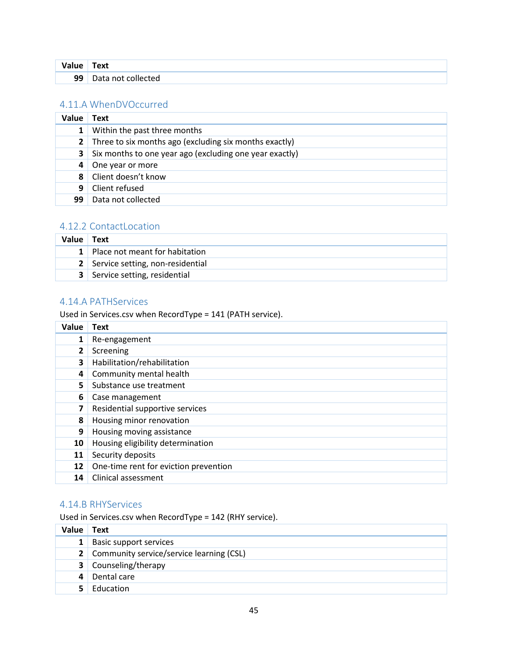| Value | ™ext               |
|-------|--------------------|
| 99    | Data not collected |

#### <span id="page-45-0"></span>4.11.A WhenDVOccurred

| Value          | Text                                                    |
|----------------|---------------------------------------------------------|
| $\mathbf{1}$   | Within the past three months                            |
| 2 <sup>1</sup> | Three to six months ago (excluding six months exactly)  |
| 3 <sup>1</sup> | Six months to one year ago (excluding one year exactly) |
| 4              | One year or more                                        |
| 8              | Client doesn't know                                     |
| 9              | Client refused                                          |
| 99             | Data not collected                                      |

### <span id="page-45-1"></span>4.12.2 ContactLocation

| Value Text |                                       |
|------------|---------------------------------------|
|            | 1 Place not meant for habitation      |
|            | 2 Service setting, non-residential    |
|            | <b>3</b> Service setting, residential |

#### <span id="page-45-2"></span>4.14.A PATHServices

Used in Services.csv when RecordType = 141 (PATH service).

| Value        | Text                                  |
|--------------|---------------------------------------|
| 1            | Re-engagement                         |
| $\mathbf{2}$ | Screening                             |
| 3            | Habilitation/rehabilitation           |
| 4            | Community mental health               |
| 5.           | Substance use treatment               |
| 6            | Case management                       |
| 7            | Residential supportive services       |
| 8            | Housing minor renovation              |
| 9            | Housing moving assistance             |
| 10           | Housing eligibility determination     |
| 11           | Security deposits                     |
| 12           | One-time rent for eviction prevention |
| 14           | Clinical assessment                   |

### <span id="page-45-3"></span>4.14.B RHYServices

Used in Services.csv when RecordType = 142 (RHY service).

| Value          | Text                                       |
|----------------|--------------------------------------------|
| 1 <sup>1</sup> | Basic support services                     |
|                | 2 Community service/service learning (CSL) |
|                | <b>3</b> Counseling/therapy                |
| 4              | Dental care                                |
| 51             | Education                                  |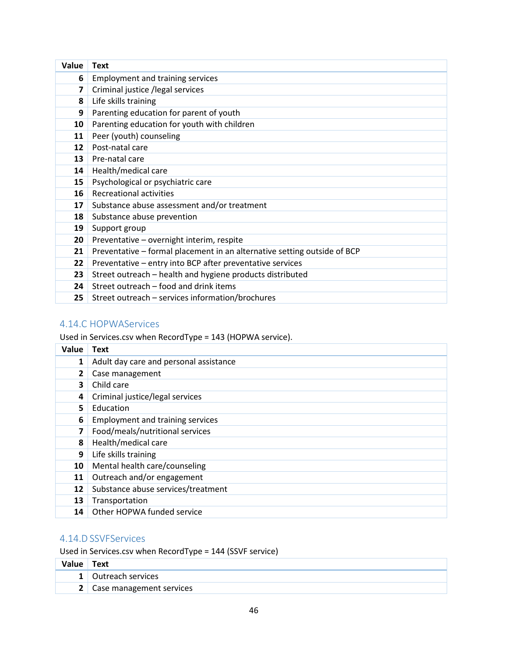| Value          | <b>Text</b>                                                              |
|----------------|--------------------------------------------------------------------------|
| 6              | <b>Employment and training services</b>                                  |
| $\overline{ }$ | Criminal justice /legal services                                         |
| 8              | Life skills training                                                     |
| 9              | Parenting education for parent of youth                                  |
| 10             | Parenting education for youth with children                              |
| 11             | Peer (youth) counseling                                                  |
| 12             | Post-natal care                                                          |
| 13             | Pre-natal care                                                           |
| 14             | Health/medical care                                                      |
| 15             | Psychological or psychiatric care                                        |
| 16             | <b>Recreational activities</b>                                           |
| 17             | Substance abuse assessment and/or treatment                              |
| 18             | Substance abuse prevention                                               |
| 19             | Support group                                                            |
| 20             | Preventative - overnight interim, respite                                |
| 21             | Preventative - formal placement in an alternative setting outside of BCP |
| 22             | Preventative - entry into BCP after preventative services                |
| 23             | Street outreach - health and hygiene products distributed                |
| 24             | Street outreach - food and drink items                                   |
| 25             | Street outreach - services information/brochures                         |

### <span id="page-46-0"></span>4.14.C HOPWAServices

Used in Services.csv when RecordType = 143 (HOPWA service).

| Value          | Text                                    |
|----------------|-----------------------------------------|
| 1              | Adult day care and personal assistance  |
| $\overline{2}$ | Case management                         |
| 3              | Child care                              |
| 4              | Criminal justice/legal services         |
| 5              | Education                               |
| 6              | <b>Employment and training services</b> |
| 7              | Food/meals/nutritional services         |
| 8              | Health/medical care                     |
| 9              | Life skills training                    |
| 10             | Mental health care/counseling           |
| 11             | Outreach and/or engagement              |
| 12             | Substance abuse services/treatment      |
| 13             | Transportation                          |
| 14             | Other HOPWA funded service              |

### <span id="page-46-1"></span>4.14.D SSVFServices

Used in Services.csv when RecordType = 144 (SSVF service)

| Value I | Text                       |
|---------|----------------------------|
|         | 1 Outreach services        |
|         | 2 Case management services |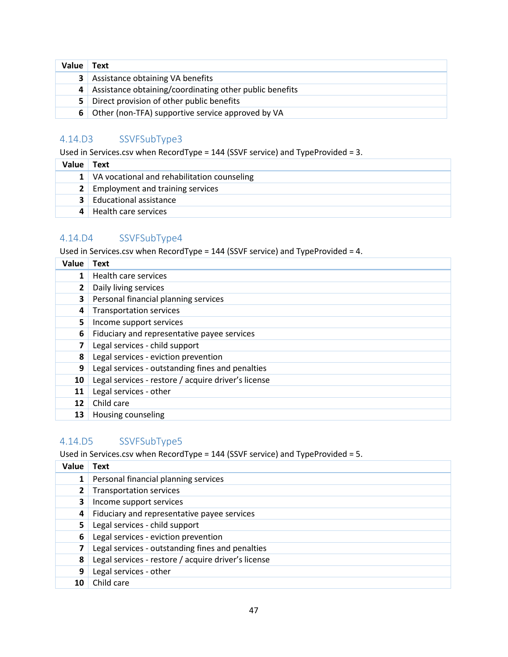| Value          | Text                                                      |
|----------------|-----------------------------------------------------------|
| 3 <sup>1</sup> | Assistance obtaining VA benefits                          |
|                | 4 Assistance obtaining/coordinating other public benefits |
|                | 5 Direct provision of other public benefits               |
| 6.             | Other (non-TFA) supportive service approved by VA         |

### <span id="page-47-0"></span>4.14.D3 SSVFSubType3

Used in Services.csv when RecordType = 144 (SSVF service) and TypeProvided = 3.

| Value | Text                                            |
|-------|-------------------------------------------------|
|       | 1   VA vocational and rehabilitation counseling |
|       | 2   Employment and training services            |
|       | <b>3</b> Educational assistance                 |
|       | 4 Health care services                          |

#### <span id="page-47-1"></span>4.14.D4 SSVFSubType4

Used in Services.csv when RecordType = 144 (SSVF service) and TypeProvided = 4.

| Value        | Text                                                |
|--------------|-----------------------------------------------------|
| $\mathbf 1$  | Health care services                                |
| $\mathbf{2}$ | Daily living services                               |
| 3            | Personal financial planning services                |
| 4            | <b>Transportation services</b>                      |
| 5.           | Income support services                             |
| 6            | Fiduciary and representative payee services         |
| 7            | Legal services - child support                      |
| 8            | Legal services - eviction prevention                |
| 9            | Legal services - outstanding fines and penalties    |
| 10           | Legal services - restore / acquire driver's license |
| 11           | Legal services - other                              |
| 12           | Child care                                          |
| 13           | Housing counseling                                  |

### <span id="page-47-2"></span>4.14.D5 SSVFSubType5

Used in Services.csv when RecordType = 144 (SSVF service) and TypeProvided = 5.

| Value | Text                                                |
|-------|-----------------------------------------------------|
|       | Personal financial planning services                |
|       | <b>Transportation services</b>                      |
| 3     | Income support services                             |
| 4     | Fiduciary and representative payee services         |
| 5.    | Legal services - child support                      |
| 6     | Legal services - eviction prevention                |
| 7     | Legal services - outstanding fines and penalties    |
| 8     | Legal services - restore / acquire driver's license |
| 9     | Legal services - other                              |
| 10    | Child care                                          |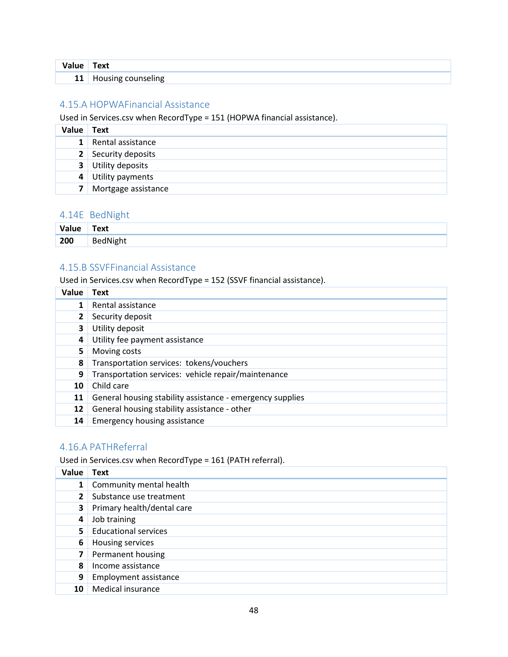| Value | Text               |
|-------|--------------------|
| 11    | Housing counseling |

### <span id="page-48-0"></span>4.15.A HOPWAFinancial Assistance

Used in Services.csv when RecordType = 151 (HOPWA financial assistance).

| Value          | Text                      |
|----------------|---------------------------|
| 1 <sup>1</sup> | Rental assistance         |
|                | 2 Security deposits       |
|                | <b>3</b> Utility deposits |
|                | 4 Utility payments        |
|                | Mortgage assistance       |

#### <span id="page-48-1"></span>4.14E BedNight

| Value | Text            |
|-------|-----------------|
| 200   | <b>BedNight</b> |

#### <span id="page-48-2"></span>4.15.B SSVFFinancial Assistance

Used in Services.csv when RecordType = 152 (SSVF financial assistance).

| Value | <b>Text</b>                                               |
|-------|-----------------------------------------------------------|
|       | Rental assistance                                         |
|       | Security deposit                                          |
| 3     | Utility deposit                                           |
| 4     | Utility fee payment assistance                            |
| 5     | Moving costs                                              |
| 8     | Transportation services: tokens/vouchers                  |
| 9     | Transportation services: vehicle repair/maintenance       |
| 10    | Child care                                                |
| 11    | General housing stability assistance - emergency supplies |
| 12    | General housing stability assistance - other              |
| 14    | Emergency housing assistance                              |

### <span id="page-48-3"></span>4.16.A PATHReferral

Used in Services.csv when RecordType = 161 (PATH referral).

| Value        | <b>Text</b>                  |
|--------------|------------------------------|
| $\mathbf{1}$ | Community mental health      |
| $\mathbf{2}$ | Substance use treatment      |
| 3            | Primary health/dental care   |
| 4            | Job training                 |
| 5.           | <b>Educational services</b>  |
| 6            | Housing services             |
| 7            | Permanent housing            |
| 8            | Income assistance            |
| 9            | <b>Employment assistance</b> |
| 10           | Medical insurance            |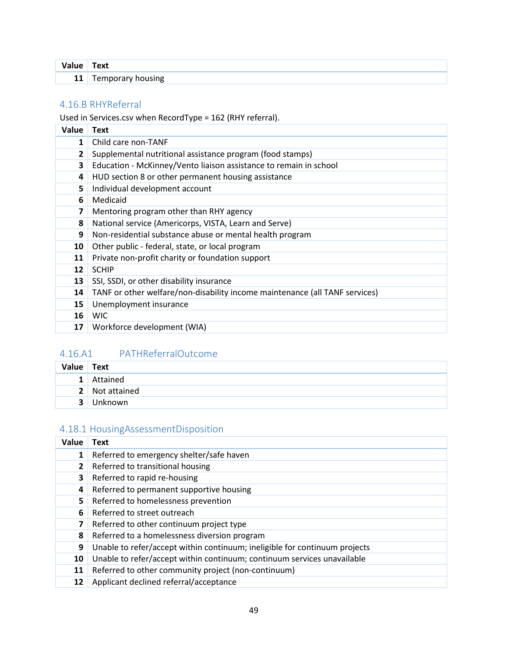|    | ext<br>___ |
|----|------------|
| 11 | - -        |

### <span id="page-49-0"></span>4.16.B RHYReferral

Used in Services.csv when RecordType = 162 (RHY referral).

| Value        | Text                                                                        |
|--------------|-----------------------------------------------------------------------------|
| $\mathbf{1}$ | Child care non-TANF                                                         |
| $\mathbf{2}$ | Supplemental nutritional assistance program (food stamps)                   |
| 3            | Education - McKinney/Vento liaison assistance to remain in school           |
| 4            | HUD section 8 or other permanent housing assistance                         |
| 5            | Individual development account                                              |
| 6            | Medicaid                                                                    |
| 7            | Mentoring program other than RHY agency                                     |
| 8            | National service (Americorps, VISTA, Learn and Serve)                       |
| 9            | Non-residential substance abuse or mental health program                    |
| 10           | Other public - federal, state, or local program                             |
| 11           | Private non-profit charity or foundation support                            |
| 12           | <b>SCHIP</b>                                                                |
| 13           | SSI, SSDI, or other disability insurance                                    |
| 14           | TANF or other welfare/non-disability income maintenance (all TANF services) |
| 15           | Unemployment insurance                                                      |
| 16           | <b>WIC</b>                                                                  |
| 17           | Workforce development (WIA)                                                 |

### <span id="page-49-1"></span>4.16.A1 PATHReferralOutcome

| Value Text     |                |
|----------------|----------------|
| 1 <sup>1</sup> | Attained       |
|                | 2 Not attained |
| 3              | Unknown        |

### <span id="page-49-2"></span>4.18.1 HousingAssessmentDisposition

| Value        | Text                                                                       |
|--------------|----------------------------------------------------------------------------|
| 1            | Referred to emergency shelter/safe haven                                   |
| $\mathbf{2}$ | Referred to transitional housing                                           |
| 3            | Referred to rapid re-housing                                               |
| 4            | Referred to permanent supportive housing                                   |
| 5.           | Referred to homelessness prevention                                        |
| 6            | Referred to street outreach                                                |
| 7            | Referred to other continuum project type                                   |
| 8            | Referred to a homelessness diversion program                               |
| 9            | Unable to refer/accept within continuum; ineligible for continuum projects |
| 10           | Unable to refer/accept within continuum; continuum services unavailable    |
| 11           | Referred to other community project (non-continuum)                        |
| 12           | Applicant declined referral/acceptance                                     |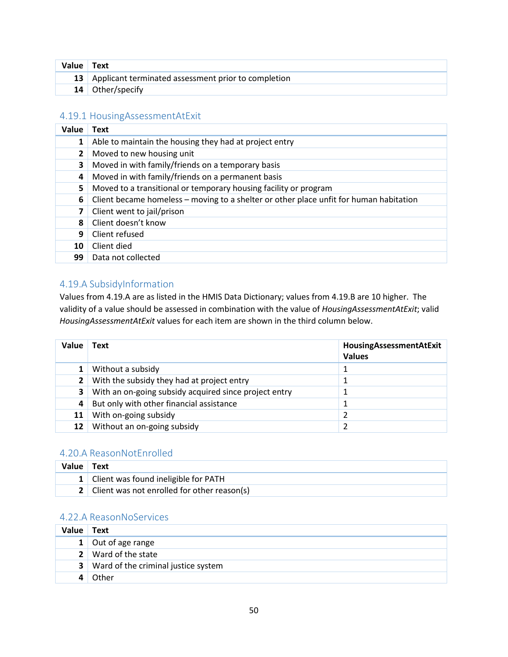| Value Text |                                                        |
|------------|--------------------------------------------------------|
|            | 13 Applicant terminated assessment prior to completion |
|            | 14 Other/specify                                       |

#### <span id="page-50-0"></span>4.19.1 HousingAssessmentAtExit

| Value        | <b>Text</b>                                                                            |
|--------------|----------------------------------------------------------------------------------------|
| 1            | Able to maintain the housing they had at project entry                                 |
| $\mathbf{2}$ | Moved to new housing unit                                                              |
| 3            | Moved in with family/friends on a temporary basis                                      |
| 4            | Moved in with family/friends on a permanent basis                                      |
| 5.           | Moved to a transitional or temporary housing facility or program                       |
| 6            | Client became homeless - moving to a shelter or other place unfit for human habitation |
| 7            | Client went to jail/prison                                                             |
| 8            | Client doesn't know                                                                    |
| 9            | Client refused                                                                         |
| 10           | Client died                                                                            |
| 99           | Data not collected                                                                     |

### <span id="page-50-1"></span>4.19.A SubsidyInformation

Values from 4.19.A are as listed in the HMIS Data Dictionary; values from 4.19.B are 10 higher. The validity of a value should be assessed in combination with the value of *HousingAssessmentAtExit*; valid *HousingAssessmentAtExit* values for each item are shown in the third column below.

| Value        | Text                                                  | HousingAssessmentAtExit<br><b>Values</b> |
|--------------|-------------------------------------------------------|------------------------------------------|
|              | Without a subsidy                                     |                                          |
| $2^{\prime}$ | With the subsidy they had at project entry            |                                          |
| 3            | With an on-going subsidy acquired since project entry |                                          |
| 4            | But only with other financial assistance              |                                          |
| 11           | With on-going subsidy                                 |                                          |
| 12           | Without an on-going subsidy                           |                                          |

#### <span id="page-50-2"></span>4.20.A ReasonNotEnrolled

| Value Text |                                               |
|------------|-----------------------------------------------|
|            | 1 Client was found ineligible for PATH        |
|            | 2 Client was not enrolled for other reason(s) |

### <span id="page-50-3"></span>4.22.A ReasonNoServices

| Value          | Text                                |
|----------------|-------------------------------------|
|                | 1 Out of age range                  |
|                | 2 Ward of the state                 |
| 3 <sup>1</sup> | Ward of the criminal justice system |
|                | Other                               |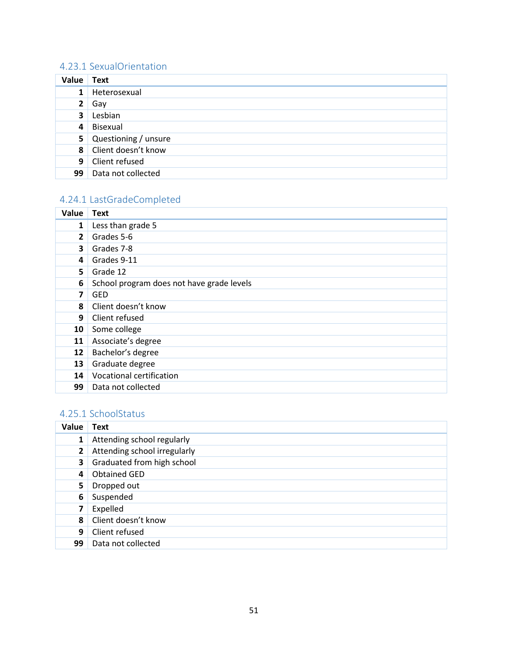### <span id="page-51-0"></span>4.23.1 SexualOrientation

| Value Text              |                        |
|-------------------------|------------------------|
| $\mathbf{1}$            | Heterosexual           |
| $\mathbf{2}$            | Gay                    |
| $\overline{\mathbf{3}}$ | Lesbian                |
|                         | 4 Bisexual             |
|                         | 5 Questioning / unsure |
|                         | 8 Client doesn't know  |
|                         | 9 Client refused       |
|                         | 99 Data not collected  |

# <span id="page-51-1"></span>4.24.1 LastGradeCompleted

| Value        | <b>Text</b>                               |
|--------------|-------------------------------------------|
| $\mathbf{1}$ | Less than grade 5                         |
| $\mathbf{2}$ | Grades 5-6                                |
| 3            | Grades 7-8                                |
| 4            | Grades 9-11                               |
| 5.           | Grade 12                                  |
| 6            | School program does not have grade levels |
| 7            | <b>GED</b>                                |
| 8            | Client doesn't know                       |
| 9            | Client refused                            |
| 10           | Some college                              |
| 11           | Associate's degree                        |
| 12           | Bachelor's degree                         |
| 13           | Graduate degree                           |
| 14           | Vocational certification                  |
| 99           | Data not collected                        |

### <span id="page-51-2"></span>4.25.1 SchoolStatus

| Value        | <b>Text</b>                  |
|--------------|------------------------------|
| $\mathbf{1}$ | Attending school regularly   |
| $\mathbf{2}$ | Attending school irregularly |
| 3            | Graduated from high school   |
| 4            | <b>Obtained GED</b>          |
| 5            | Dropped out                  |
| 6            | Suspended                    |
| 7            | Expelled                     |
| 8            | Client doesn't know          |
| 9            | Client refused               |
| 99           | Data not collected           |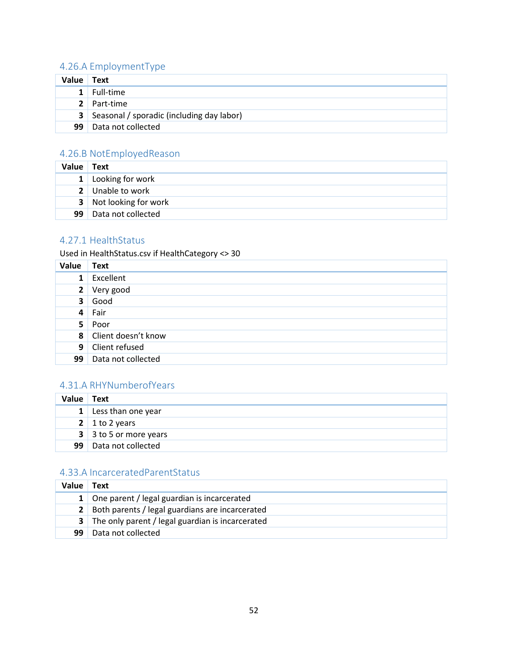# <span id="page-52-0"></span>4.26.A EmploymentType

| Value Text      |                                                    |
|-----------------|----------------------------------------------------|
|                 | $1$ Full-time                                      |
|                 | 2 Part-time                                        |
|                 | <b>3</b> Seasonal / sporadic (including day labor) |
| 99 <sup>1</sup> | Data not collected                                 |

### <span id="page-52-1"></span>4.26.B NotEmployedReason

| Value Text |                         |
|------------|-------------------------|
|            | 1 Looking for work      |
|            | 2 Unable to work        |
|            | 3 Not looking for work  |
|            | 99   Data not collected |

### <span id="page-52-2"></span>4.27.1 HealthStatus

Used in HealthStatus.csv if HealthCategory <> 30

| Value          | Text                    |
|----------------|-------------------------|
| $\mathbf{1}$   | Excellent               |
|                | 2 Very good             |
| 3 <sup>1</sup> | Good                    |
| 4 <sup>1</sup> | Fair                    |
| 5 <sub>1</sub> | Poor                    |
|                | 8 Client doesn't know   |
|                | 9 Client refused        |
|                | 99   Data not collected |

### <span id="page-52-3"></span>4.31.A RHYNumberofYears

| Value | <b>Text</b>                   |
|-------|-------------------------------|
|       | $1$ Less than one year        |
|       | 2 1 to 2 years                |
|       | $3 \mid 3$ to 5 or more years |
|       | 99   Data not collected       |

### <span id="page-52-4"></span>4.33.A IncarceratedParentStatus

| Value | Text                                               |
|-------|----------------------------------------------------|
|       | 1 One parent / legal guardian is incarcerated      |
|       | 2 Both parents / legal guardians are incarcerated  |
|       | 3 The only parent / legal guardian is incarcerated |
| 99    | Data not collected                                 |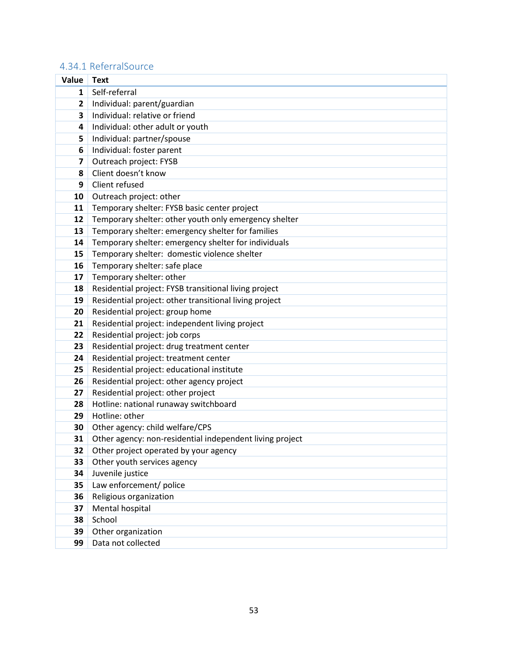### <span id="page-53-0"></span>4.34.1 ReferralSource

<span id="page-53-1"></span>

| Value                   | <b>Text</b>                                              |
|-------------------------|----------------------------------------------------------|
| $\mathbf{1}$            | Self-referral                                            |
| $\mathbf{2}$            | Individual: parent/guardian                              |
| 3                       | Individual: relative or friend                           |
| $\overline{\mathbf{4}}$ | Individual: other adult or youth                         |
| 5                       | Individual: partner/spouse                               |
| 6                       | Individual: foster parent                                |
| $\overline{\mathbf{z}}$ | Outreach project: FYSB                                   |
| 8                       | Client doesn't know                                      |
| 9                       | Client refused                                           |
| 10                      | Outreach project: other                                  |
| 11                      | Temporary shelter: FYSB basic center project             |
| 12                      | Temporary shelter: other youth only emergency shelter    |
| 13                      | Temporary shelter: emergency shelter for families        |
| 14                      | Temporary shelter: emergency shelter for individuals     |
| 15                      | Temporary shelter: domestic violence shelter             |
| 16                      | Temporary shelter: safe place                            |
| 17                      | Temporary shelter: other                                 |
| 18                      | Residential project: FYSB transitional living project    |
| 19                      | Residential project: other transitional living project   |
| 20                      | Residential project: group home                          |
| 21                      | Residential project: independent living project          |
| 22                      | Residential project: job corps                           |
| 23                      | Residential project: drug treatment center               |
| 24                      | Residential project: treatment center                    |
| 25                      | Residential project: educational institute               |
| 26                      | Residential project: other agency project                |
| 27                      | Residential project: other project                       |
| 28                      | Hotline: national runaway switchboard                    |
| 29                      | Hotline: other                                           |
| 30                      | Other agency: child welfare/CPS                          |
| 31                      | Other agency: non-residential independent living project |
| 32                      | Other project operated by your agency                    |
| 33                      | Other youth services agency                              |
| 34                      | Juvenile justice                                         |
| 35                      | Law enforcement/ police                                  |
| 36                      | Religious organization                                   |
| 37                      | Mental hospital                                          |
| 38                      | School                                                   |
| 39                      | Other organization                                       |
| 99                      | Data not collected                                       |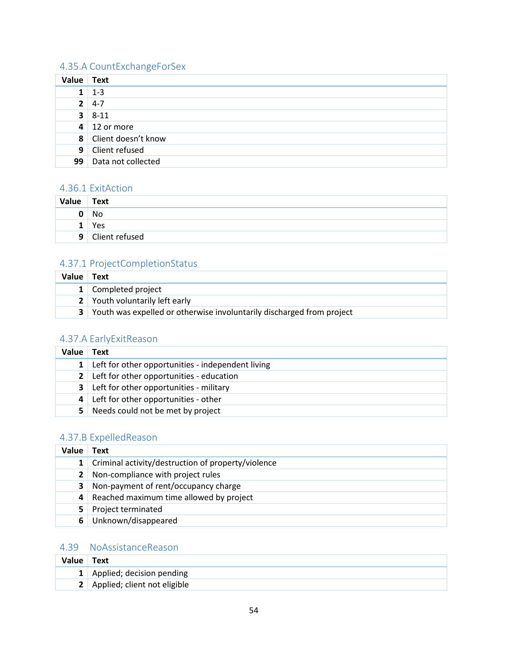### 4.35.A CountExchangeForSex

| Value | Text                  |
|-------|-----------------------|
|       | $1 - 3$               |
|       | $2 \mid 4-7$          |
|       | $3 \mid 8-11$         |
|       | $4 \mid 12$ or more   |
|       | 8 Client doesn't know |
|       | 9 Client refused      |
| 99    | Data not collected    |

#### <span id="page-54-0"></span>4.36.1 ExitAction

| Value | Text           |
|-------|----------------|
| 0     | No             |
| п     | Yes            |
| 9     | Client refused |

### <span id="page-54-1"></span>4.37.1 ProjectCompletionStatus

| Value Text |                                                                         |
|------------|-------------------------------------------------------------------------|
|            | 1 Completed project                                                     |
|            | 2 Youth voluntarily left early                                          |
|            | 3 Youth was expelled or otherwise involuntarily discharged from project |

#### <span id="page-54-2"></span>4.37.A EarlyExitReason

| Value          | Text                                              |
|----------------|---------------------------------------------------|
| 1 <sup>1</sup> | Left for other opportunities - independent living |
| 2 <sup>1</sup> | Left for other opportunities - education          |
| 3 <sup>1</sup> | Left for other opportunities - military           |
| 4 <sup>1</sup> | Left for other opportunities - other              |
| 5.             | Needs could not be met by project                 |

### <span id="page-54-3"></span>4.37.B ExpelledReason

| Value | Text                                                        |
|-------|-------------------------------------------------------------|
|       | <b>1</b> Criminal activity/destruction of property/violence |
|       | 2 Non-compliance with project rules                         |
| 3     | Non-payment of rent/occupancy charge                        |
| 4     | Reached maximum time allowed by project                     |
| 5.    | Project terminated                                          |
| 6     | Unknown/disappeared                                         |

### <span id="page-54-4"></span>4.39 NoAssistanceReason

| Value Text |                                |
|------------|--------------------------------|
|            | 1 Applied; decision pending    |
|            | 2 Applied; client not eligible |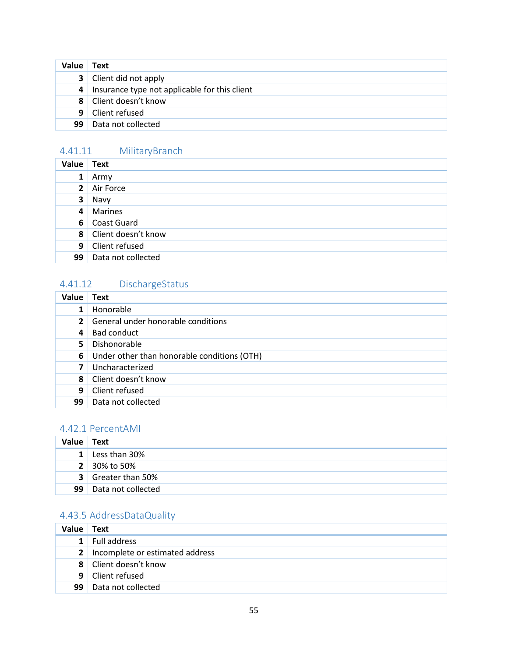| Value          | Text                                            |
|----------------|-------------------------------------------------|
|                | <b>3</b> Client did not apply                   |
|                | 4 Insurance type not applicable for this client |
|                | 8 Client doesn't know                           |
| 9 <sup>1</sup> | Client refused                                  |
| 99             | Data not collected                              |

### <span id="page-55-0"></span>4.41.11 MilitaryBranch

| Value          | <b>Text</b>           |
|----------------|-----------------------|
| $\mathbf{1}$   | Army                  |
|                | 2 Air Force           |
| $\mathbf{3}$   | Navy                  |
| 4              | Marines               |
|                | 6 Coast Guard         |
|                | 8 Client doesn't know |
| 9 <sub>1</sub> | Client refused        |
| 99             | Data not collected    |

# <span id="page-55-1"></span>4.41.12 DischargeStatus

| Value        | <b>Text</b>                                 |
|--------------|---------------------------------------------|
| $\mathbf{1}$ | Honorable                                   |
| $\mathbf{2}$ | General under honorable conditions          |
| 4            | Bad conduct                                 |
| 5.           | Dishonorable                                |
| 6            | Under other than honorable conditions (OTH) |
|              | Uncharacterized                             |
| 8            | Client doesn't know                         |
| 9            | Client refused                              |
| 99           | Data not collected                          |

### <span id="page-55-2"></span>4.42.1 PercentAMI

| Value | Text                      |
|-------|---------------------------|
| 1     | Less than 30%             |
|       | 2 30% to 50%              |
|       | <b>3</b> Greater than 50% |
| 99    | Data not collected        |

### <span id="page-55-3"></span>4.43.5 AddressDataQuality

| Value          | Text                                |
|----------------|-------------------------------------|
| 1 <sup>1</sup> | Full address                        |
|                | 2   Incomplete or estimated address |
|                | 8 Client doesn't know               |
|                | 9 Client refused                    |
| 99.            | Data not collected                  |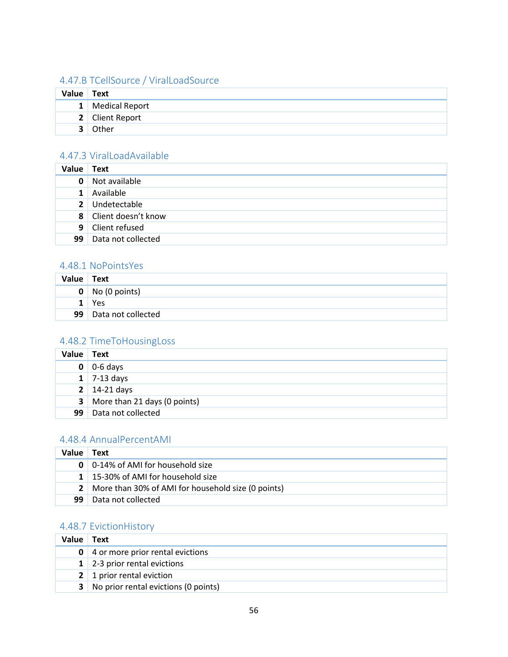### <span id="page-56-0"></span>4.47.B TCellSource / ViralLoadSource

| Value Text |                  |
|------------|------------------|
|            | 1 Medical Report |
|            | 2 Client Report  |
|            | Other            |

### <span id="page-56-1"></span>4.47.3 ViralLoadAvailable

| Value        | Text                  |
|--------------|-----------------------|
| 0            | Not available         |
| $\mathbf{1}$ | Available             |
|              | 2 Undetectable        |
|              | 8 Client doesn't know |
| 9            | Client refused        |
| 99           | Data not collected    |

#### <span id="page-56-2"></span>4.48.1 NoPointsYes

| Value           | Text                       |
|-----------------|----------------------------|
|                 | $\mathbf{0}$ No (0 points) |
|                 | Yes                        |
| 99 <sub>1</sub> | Data not collected         |

### <span id="page-56-3"></span>4.48.2 TimeToHousingLoss

| Value | Text                                  |
|-------|---------------------------------------|
|       | $0 \mid 0.6$ days                     |
|       | $1 \mid 7-13 \text{ days}$            |
|       | $2 \mid 14-21 \text{ days}$           |
|       | <b>3</b> More than 21 days (0 points) |
| 99    | Data not collected                    |

### <span id="page-56-4"></span>4.48.4 AnnualPercentAMI

| Value | Text                                                   |
|-------|--------------------------------------------------------|
|       | <b>0</b>   0-14% of AMI for household size             |
|       | 1 15-30% of AMI for household size                     |
|       | 2   More than 30% of AMI for household size (0 points) |
| 99    | Data not collected                                     |

### <span id="page-56-5"></span>4.48.7 EvictionHistory

| Value | Text                                          |
|-------|-----------------------------------------------|
|       | 0 4 or more prior rental evictions            |
|       | $1 \mid 2-3$ prior rental evictions           |
|       | 2   1 prior rental eviction                   |
|       | <b>3</b> No prior rental evictions (0 points) |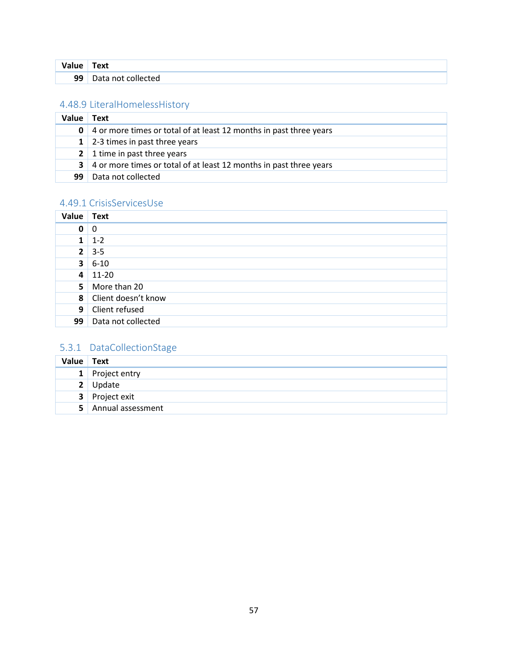| Value | ext'                      |
|-------|---------------------------|
| 99    | )at:<br>∣n∩t<br>collected |

### <span id="page-57-0"></span>4.48.9 LiteralHomelessHistory

| Value | Text                                                               |
|-------|--------------------------------------------------------------------|
| 0     | 4 or more times or total of at least 12 months in past three years |
|       | 1   2-3 times in past three years                                  |
|       | 2   1 time in past three years                                     |
| 3     | 4 or more times or total of at least 12 months in past three years |
| 99    | Data not collected                                                 |

### <span id="page-57-1"></span>4.49.1 CrisisServicesUse

| Value          | <b>Text</b>           |
|----------------|-----------------------|
| 0              | 0                     |
| 1 <sup>1</sup> | $1 - 2$               |
| 2 <sup>1</sup> | $3 - 5$               |
| 3 <sup>1</sup> | 6-10                  |
|                | $4 \mid 11 - 20$      |
| 5              | More than 20          |
|                | 8 Client doesn't know |
| 9              | Client refused        |
|                | 99 Data not collected |

### <span id="page-57-2"></span>5.3.1 DataCollectionStage

<span id="page-57-3"></span>

| Value Text |                     |
|------------|---------------------|
|            | 1 Project entry     |
|            | 2 Update            |
|            | 3 Project exit      |
|            | 5 Annual assessment |